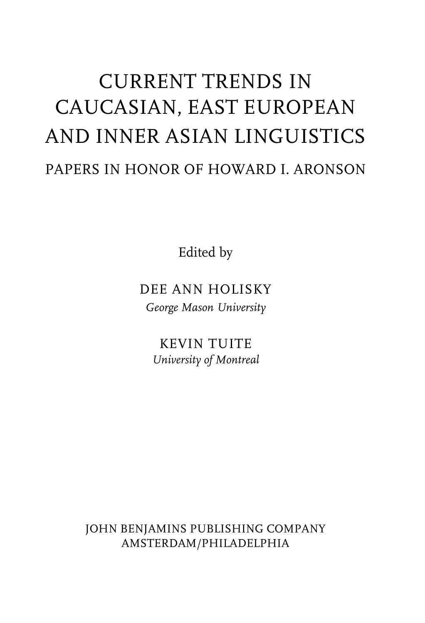# CURRENT TRENDS IN CAUCASIAN, EAST EUROPEAN AND INNER ASIAN LINGUISTICS PAPERS IN HONOR OF HOWARD I. ARONSON

Edited by

DEE ANN HOLISKY *George Mason University*

> KEVIN TUITE *University of Montreal*

JOHN BENJAMINS PUBLISHING COMPANY AMSTERDAM/PHILADELPHIA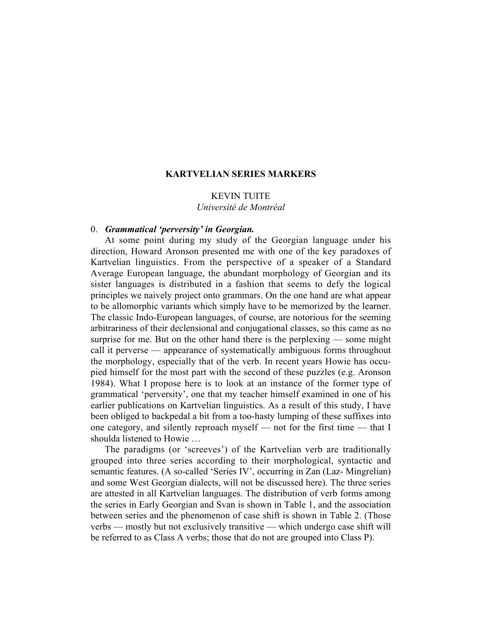## **KARTVELIAN SERIES MARKERS**

# KEVIN TUITE *Université de Montréal*

## 0. *Grammatical 'perversity' in Georgian.*

At some point during my study of the Georgian language under his direction, Howard Aronson presented me with one of the key paradoxes of Kartvelian linguistics. From the perspective of a speaker of a Standard Average European language, the abundant morphology of Georgian and its sister languages is distributed in a fashion that seems to defy the logical principles we naively project onto grammars. On the one hand are what appear to be allomorphic variants which simply have to be memorized by the learner. The classic Indo-European languages, of course, are notorious for the seeming arbitrariness of their declensional and conjugational classes, so this came as no surprise for me. But on the other hand there is the perplexing — some might call it perverse — appearance of systematically ambiguous forms throughout the morphology, especially that of the verb. In recent years Howie has occupied himself for the most part with the second of these puzzles (e.g. Aronson 1984). What I propose here is to look at an instance of the former type of grammatical 'perversity', one that my teacher himself examined in one of his earlier publications on Kartvelian linguistics. As a result of this study, I have been obliged to backpedal a bit from a too-hasty lumping of these suffixes into one category, and silently reproach myself — not for the first time — that I shoulda listened to Howie …

The paradigms (or 'screeves') of the Kartvelian verb are traditionally grouped into three series according to their morphological, syntactic and semantic features. (A so-called 'Series IV', occurring in Zan (Laz- Mingrelian) and some West Georgian dialects, will not be discussed here). The three series are attested in all Kartvelian languages. The distribution of verb forms among the series in Early Georgian and Svan is shown in Table 1, and the association between series and the phenomenon of case shift is shown in Table 2. (Those verbs — mostly but not exclusively transitive — which undergo case shift will be referred to as Class A verbs; those that do not are grouped into Class P).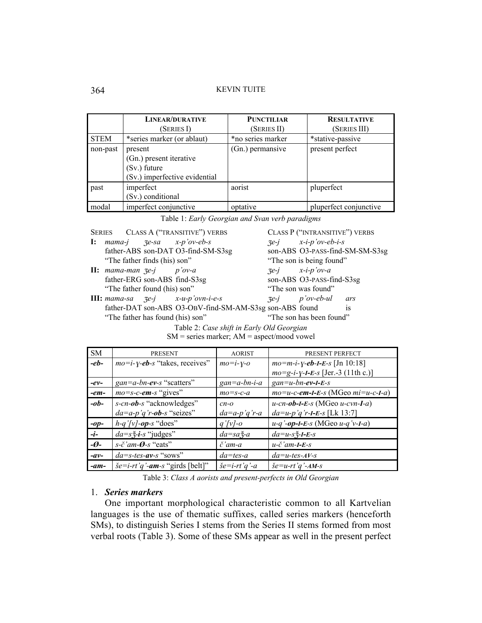|             | <b>LINEAR/DURATIVE</b><br>(Series I)                                                | <b>PUNCTILIAR</b><br>(SERIES II) | <b>RESULTATIVE</b><br>(SERIES III) |
|-------------|-------------------------------------------------------------------------------------|----------------------------------|------------------------------------|
| <b>STEM</b> | *series marker (or ablaut)                                                          | *no series marker                | *stative-passive                   |
| non-past    | present<br>(Gn.) present iterative<br>(Sv.) future<br>(Sv.) imperfective evidential | (Gn.) permansive                 | present perfect                    |
| past        | imperfect<br>(Sv.) conditional                                                      | aorist                           | pluperfect                         |
| modal       | imperfect conjunctive                                                               | optative                         | pluperfect conjunctive             |

Table 1: *Early Georgian and Svan verb paradigms*

|                                            | SERIES CLASS A ("TRANSITIVE") VERBS                     | CLASS P ("INTRANSITIVE") VERBS   |    |
|--------------------------------------------|---------------------------------------------------------|----------------------------------|----|
| I: mama-j $ze-sa$ $x-p'ov-eb-s$            |                                                         | $ze-i$ $x-i-p'ov-eb-i-s$         |    |
|                                            | father-ABS son-DAT O3-find-SM-S3sg                      | son-ABS O3-PASS-find-SM-SM-S3sg  |    |
| "The father finds (his) son"               |                                                         | "The son is being found"         |    |
| $\Pi$ : mama-man $\overline{z}e$ -j p'ov-a |                                                         | $7e-i$ $x-i-p'ov-a$              |    |
| father-ERG son-ABS find-S3sg               |                                                         | son-ABS O3-PASS-find-S3sg        |    |
| "The father found (his) son"               |                                                         | "The son was found"              |    |
|                                            | <b>III:</b> mama-sa $ze-i$ $x-u-p'ovn-i-e-s$            | $\overline{z}e-i$ p'ov-eb-ul ars |    |
|                                            | father-DAT son-ABS O3-OBV-find-SM-AM-S3sg son-ABS found |                                  | is |
| "The father has found (his) son"           |                                                         | "The son has been found"         |    |
|                                            | Table 2: Case shift in Early Old Georgian               |                                  |    |

SM = series marker; AM = aspect/mood vowel

| <b>SM</b>              | <b>PRESENT</b>                                                | <b>AORIST</b>                | PRESENT PERFECT                                      |
|------------------------|---------------------------------------------------------------|------------------------------|------------------------------------------------------|
| $-eb-$                 | $mo=i-y-eb-s$ "takes, receives"                               | $mo=i-Y$ -0                  | $mo = m - i - \gamma - eb - I - E - s$ [Jn 10:18]    |
|                        |                                                               |                              | $mo = g - i - \gamma - I - E - s$ [Jer.-3 (11th c.)] |
| $-ev-$                 | $gan = a-bn-ev-s$ "scatters"                                  | $gan=a-bn-i-a$               | $gan = u - bn - ev - I - E - s$                      |
| $-em-$                 | $mo=s-c$ -em-s "gives"                                        | $mo=s-c-a$                   | $mo=u-c$ -em-I-E-s (MGeo mi=u-c-I-a)                 |
| $-$ ob-                | s-cn-ob-s "acknowledges"                                      | $cn-o$                       | $u$ -cn-ob-I-E-s (MGeo $u$ -cvn-I-a)                 |
|                        | $da=a-p'q'r$ -ob-s "seizes"                                   | $da=a-p'q'r-a$               | $da = u - p'q'r - I-E - s$ [Lk 13:7]                 |
| $-op-$                 | $h-q$ '[v]-op-s "does"                                        | $q'/v$ ]-o                   | $u-q'$ -op-I-E-s (MGeo $u-q'v$ -I-a)                 |
| $-i-$                  | $da=s\check{z}-i-s$ "judges"                                  | $da = sa \xi - a$            | $da = u-s\check{z}$ -I-E-s                           |
| $-\boldsymbol{\theta}$ | $s-\check{c}'$ am- $\boldsymbol{\varnothing}$ -s "eats"       | $\check{c}$ 'am-a            | $u-\check{c}'$ am-I-E-s                              |
| $-av-$                 | $da=s-tes-av-s$ "sows"                                        | $da = tes - a$               | $da = u$ -tes-AV-s                                   |
| $-am-$                 | $\check{\mathbf{s}}e = \mathbf{i}$ -rt'q'-am-s "girds [belt]" | $\check{se} = i - rt'q' - a$ | $\check{\mathit{se}} = u$ -rt'q'-AM-s                |

Table 3: *Class A aorists and present-perfects in Old Georgian*

## 1. *Series markers*

One important morphological characteristic common to all Kartvelian languages is the use of thematic suffixes, called series markers (henceforth SMs), to distinguish Series I stems from the Series II stems formed from most verbal roots (Table 3). Some of these SMs appear as well in the present perfect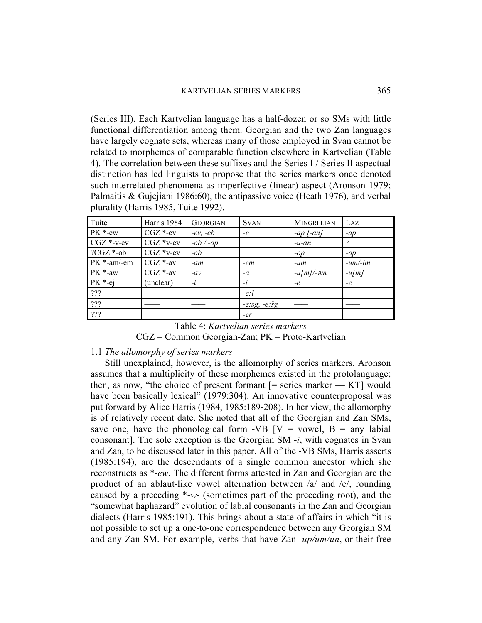(Series III). Each Kartvelian language has a half-dozen or so SMs with little functional differentiation among them. Georgian and the two Zan languages have largely cognate sets, whereas many of those employed in Svan cannot be related to morphemes of comparable function elsewhere in Kartvelian (Table 4). The correlation between these suffixes and the Series I / Series II aspectual distinction has led linguists to propose that the series markers once denoted such interrelated phenomena as imperfective (linear) aspect (Aronson 1979; Palmaitis & Gujejiani 1986:60), the antipassive voice (Heath 1976), and verbal plurality (Harris 1985, Tuite 1992).

| Tuite          | Harris 1984   | <b>GEORGIAN</b> | <b>SVAN</b>    | <b>MINGRELIAN</b>           | LAZ              |
|----------------|---------------|-----------------|----------------|-----------------------------|------------------|
| PK *-ew        | $CGZ$ *-ev    | $-ev, -eb$      | -e             | $-ap$ $[-an]$               | $-ap$            |
| $CGZ * -v$ -ev | $CGZ * v$ -ev | $-$ ob / -op    |                | -u-an                       |                  |
| $?CGZ * -ob$   | $CGZ * v$ -ev | $-$ ob          |                | $-op$                       | $-op$            |
| PK *-am/-em    | $CGZ * -av$   | -am             | -em            | $-um$                       | $-um/\text{-}im$ |
| $PK * -aw$     | $CGZ * -av$   | $-av$           | $-a$           | $-u/m$ / $\rightarrow$ $2m$ | $-u/m$           |
| $PK * ei$      | (unclear)     | -i              | $-i$           | $-e$                        | -e               |
| ???            |               |                 | $-e:l$         |                             |                  |
| ???            |               |                 | $-e:sg, -e:sg$ |                             |                  |
| ???            |               |                 | $-er$          |                             |                  |

Table 4: *Kartvelian series markers* CGZ = Common Georgian-Zan; PK = Proto-Kartvelian

## 1.1 *The allomorphy of series markers*

Still unexplained, however, is the allomorphy of series markers. Aronson assumes that a multiplicity of these morphemes existed in the protolanguage; then, as now, "the choice of present formant  $[=$  series marker  $-$  KT] would have been basically lexical" (1979:304). An innovative counterproposal was put forward by Alice Harris (1984, 1985:189-208). In her view, the allomorphy is of relatively recent date. She noted that all of the Georgian and Zan SMs, save one, have the phonological form -VB  $[V = vowel, B = any labial]$ consonant]. The sole exception is the Georgian SM -*i*, with cognates in Svan and Zan, to be discussed later in this paper. All of the -VB SMs, Harris asserts (1985:194), are the descendants of a single common ancestor which she reconstructs as \*-*ew*. The different forms attested in Zan and Georgian are the product of an ablaut-like vowel alternation between /a/ and /e/, rounding caused by a preceding \*-*w*- (sometimes part of the preceding root), and the "somewhat haphazard" evolution of labial consonants in the Zan and Georgian dialects (Harris 1985:191). This brings about a state of affairs in which "it is not possible to set up a one-to-one correspondence between any Georgian SM and any Zan SM. For example, verbs that have Zan -*up/um/un*, or their free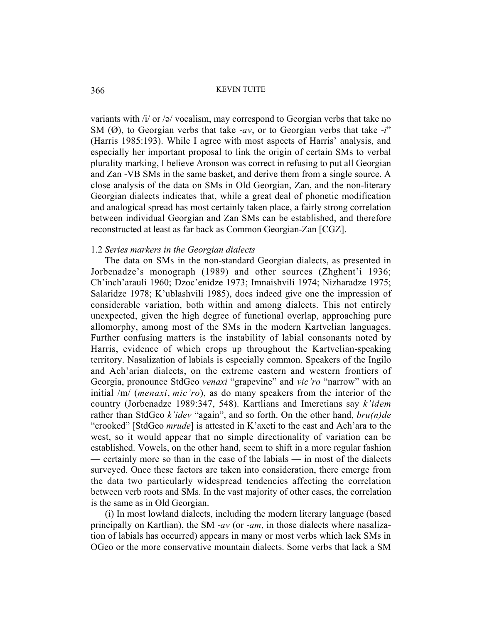variants with  $\frac{1}{4}$  or  $\frac{1}{9}$  vocalism, may correspond to Georgian verbs that take no SM (Ø), to Georgian verbs that take -*av*, or to Georgian verbs that take -*i*" (Harris 1985:193). While I agree with most aspects of Harris' analysis, and especially her important proposal to link the origin of certain SMs to verbal plurality marking, I believe Aronson was correct in refusing to put all Georgian and Zan -VB SMs in the same basket, and derive them from a single source. A close analysis of the data on SMs in Old Georgian, Zan, and the non-literary Georgian dialects indicates that, while a great deal of phonetic modification and analogical spread has most certainly taken place, a fairly strong correlation between individual Georgian and Zan SMs can be established, and therefore reconstructed at least as far back as Common Georgian-Zan [CGZ].

## 1.2 *Series markers in the Georgian dialects*

The data on SMs in the non-standard Georgian dialects, as presented in Jorbenadze's monograph (1989) and other sources (Zhghent'i 1936; Ch'inch'arauli 1960; Dzoc'enidze 1973; Imnaishvili 1974; Nizharadze 1975; Salaridze 1978; K'ublashvili 1985), does indeed give one the impression of considerable variation, both within and among dialects. This not entirely unexpected, given the high degree of functional overlap, approaching pure allomorphy, among most of the SMs in the modern Kartvelian languages. Further confusing matters is the instability of labial consonants noted by Harris, evidence of which crops up throughout the Kartvelian-speaking territory. Nasalization of labials is especially common. Speakers of the Ingilo and Ach'arian dialects, on the extreme eastern and western frontiers of Georgia, pronounce StdGeo *venaxi* "grapevine" and *vic'ro* "narrow" with an initial /m/ (*menaxi*, *mic'ro*), as do many speakers from the interior of the country (Jorbenadze 1989:347, 548). Kartlians and Imeretians say *k'idem* rather than StdGeo *k'idev* "again", and so forth. On the other hand, *bru(n)de* "crooked" [StdGeo *mrude*] is attested in K'axeti to the east and Ach'ara to the west, so it would appear that no simple directionality of variation can be established. Vowels, on the other hand, seem to shift in a more regular fashion — certainly more so than in the case of the labials — in most of the dialects surveyed. Once these factors are taken into consideration, there emerge from the data two particularly widespread tendencies affecting the correlation between verb roots and SMs. In the vast majority of other cases, the correlation is the same as in Old Georgian.

(i) In most lowland dialects, including the modern literary language (based principally on Kartlian), the SM -*av* (or -*am*, in those dialects where nasalization of labials has occurred) appears in many or most verbs which lack SMs in OGeo or the more conservative mountain dialects. Some verbs that lack a SM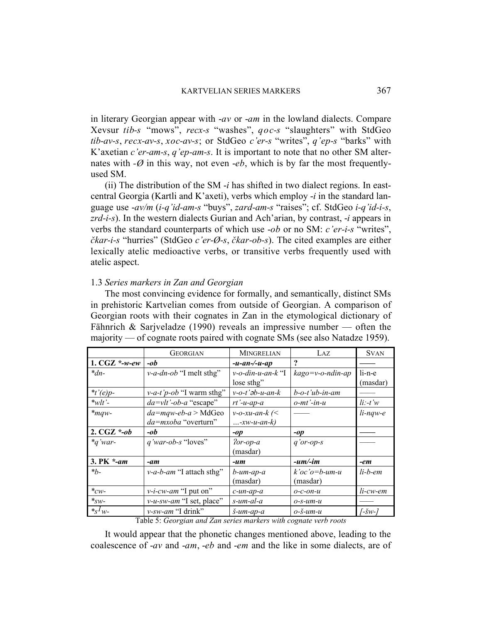in literary Georgian appear with -*av* or -*am* in the lowland dialects. Compare Xevsur *tib-s* "mows", *recx-s* "washes", *qoc-s* "slaughters" with StdGeo *tib-av-s*, *recx-av-s*, *xoc-av-s*; or StdGeo *c'er-s* "writes", *q'ep-s* "barks" with K'axetian *c'er-am-s*, *q'ep-am-s*. It is important to note that no other SM alternates with  $-\varnothing$  in this way, not even  $-eb$ , which is by far the most frequentlyused SM.

(ii) The distribution of the SM -*i* has shifted in two dialect regions. In eastcentral Georgia (Kartli and K'axeti), verbs which employ -*i* in the standard language use -*av/m* (*i-q'id-am-s* "buys", *zard-am-s* "raises"; cf. StdGeo *i-q'id-i-s*, *zrd-i-s*). In the western dialects Gurian and Ach'arian, by contrast, -*i* appears in verbs the standard counterparts of which use -*ob* or no SM: *c'er-i-s* "writes", *™kar-i-s* "hurries" (StdGeo *c'er-Ø-s*, *™kar-ob-s*). The cited examples are either lexically atelic medioactive verbs, or transitive verbs frequently used with atelic aspect.

## 1.3 *Series markers in Zan and Georgian*

The most convincing evidence for formally, and semantically, distinct SMs in prehistoric Kartvelian comes from outside of Georgian. A comparison of Georgian roots with their cognates in Zan in the etymological dictionary of Fähnrich & Sarjveladze (1990) reveals an impressive number — often the majority — of cognate roots paired with cognate SMs (see also Natadze 1959).

|                  | <b>GEORGIAN</b>             | <b>MINGRELIAN</b>         | LAZ                        | <b>SVAN</b> |
|------------------|-----------------------------|---------------------------|----------------------------|-------------|
| 1. $CGZ * -w-ew$ | -ob                         | $-u-an$ - $u-ap$          | $\boldsymbol{\mathcal{P}}$ |             |
| $*dn-$           | $v$ -a-dn-ob "I melt sthg"  | $v$ -o-din-u-an-k "I      | $kago=v-o$ -ndin-ap        | $l$ i-n-e   |
|                  |                             | lose sthg"                |                            | (masdar)    |
| $*_t$ '(e)p-     | $v-a-t'p-ob$ "I warm sthg"  | $v$ -o-t' $ab$ -u-an- $k$ | $b$ -o-t'ub-in-am          |             |
| $*$ wlt'-        | $da=vlt'$ -ob-a "escape"    | $rt'$ -u-ap-a             | $o$ - $mt'$ - $in$ - $u$   | $li:$ $t'w$ |
| $*$ mqw-         | $da = mqw - eb - a$ > MdGeo | $v$ -o-xu-an- $k$ (<      |                            | $li$ -nqw-e |
|                  | $da = mxoba$ "overturn"     | $$ -xw-u-an-k)            |                            |             |
| 2. $CGZ * -ob$   | -ob                         | $-op$                     | $-op$                      |             |
| $*_q$ 'war-      | q'war-ob-s "loves"          | $2$ or-op-a               | $q'$ or-op-s               |             |
|                  |                             | (masdar)                  |                            |             |
| 3. $PK *$ -am    | -am                         | -um                       | $-um/ - im$                | -em         |
| $*_{h-}$         | $v-a-b-am$ "I attach sthg"  | $b$ -um-ap-a              | $k'oc'o = b$ -um-u         | $li-b$ -em  |
|                  |                             | (masdar)                  | (masdar)                   |             |
| $\ast_{CW^-}$    | $v$ -i-cw-am "I put on"     | $c$ -un-ap-a              | $O - C - O n - U$          | li-cw-em    |
| $*_{SW}$         | $v$ -u-sw-am "I set, place" | s-um-al-a                 | $O-S-um-u$                 |             |
| $*_{S}I_{W^-}$   | v-sw-am "I drink"           | $\check{s}$ -um-ap-a      | $o$ -š-um-u                | [-šw-]      |

Table 5: *Georgian and Zan series markers with cognate verb roots*

It would appear that the phonetic changes mentioned above, leading to the coalescence of -*av* and -*am*, -*eb* and -*em* and the like in some dialects, are of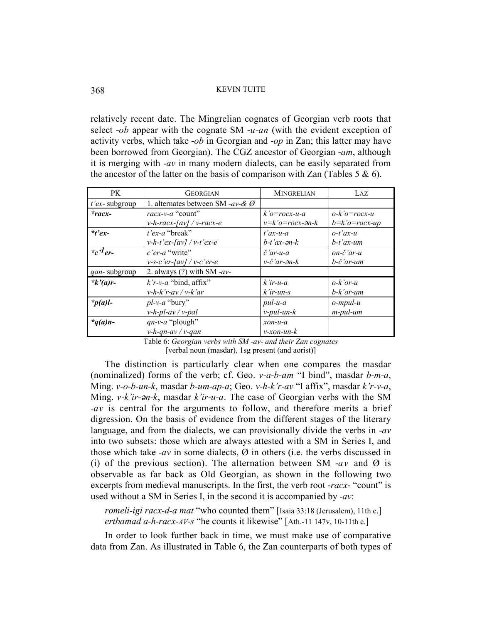relatively recent date. The Mingrelian cognates of Georgian verb roots that select -*ob* appear with the cognate SM -*u-an* (with the evident exception of activity verbs, which take -*ob* in Georgian and -*op* in Zan; this latter may have been borrowed from Georgian). The CGZ ancestor of Georgian -*am*, although it is merging with -*av* in many modern dialects, can be easily separated from the ancestor of the latter on the basis of comparison with Zan (Tables 5  $\&$  6).

| PK                   | <b>GEORGIAN</b>                             | <b>MINGRELIAN</b>       | LAZ                   |
|----------------------|---------------------------------------------|-------------------------|-----------------------|
| $t'ex$ - subgroup    | 1. alternates between SM-av-& $\varnothing$ |                         |                       |
| $*rac x-$            | $rac{x-v-a}{\text{count}}$                  | $k$ 'o=rocx-u-a         | $o-k$ ' $o=$ rocx-u   |
|                      | $v$ -h-racx-[av] / $v$ -racx-e              | $v = k'o = rocx - 3n-k$ | $b = k'o = rocx - up$ |
| $*$ t'ex-            | $t'ex-a$ "break"                            | $t'$ ax-u-a             | $o-t'ax-u$            |
|                      | $v$ -h-t'ex-[av] / $v$ -t'ex-e              | $b-t'ax$ -ən- $k$       | $b-t'ax-um$           |
| $*_c!_{er-}$         | $c'$ er-a "write"                           | $\check{c}'$ ar-u-a     | $on-č'$ ar-u          |
|                      | $v$ -s-c'er-[av] / v-c'er-e                 | $v$ -č'ar-ən-k          | $b-\check{c}$ 'ar-um  |
| <i>gan</i> -subgroup | 2. always $(?)$ with SM -av-                |                         |                       |
| * $k'(a)r-$          | $k'r$ -v-a "bind, affix"                    | $k$ 'ir-u-a             | $o-k'$ or-u           |
|                      | $v-h-k'$ r-av / $v-k'$ ar                   | $k'$ ir-un-s            | $b-k'$ or-um          |
| $*_{p(a)l}$          | $pl$ -v-a "bury"                            | $pul-u-a$               | $o$ -mpul-u           |
|                      | $v$ -h-pl-av / $v$ -pal                     | $v$ -pul-un- $k$        | $m$ -pul-um           |
| * $q(a)n-$           | $qn-v-a$ "plough"                           | $xon-u-a$               |                       |
|                      | $v$ -h-qn-av / $v$ -qan                     | $v$ -xon-un- $k$        |                       |

Table 6: *Georgian verbs with SM -av- and their Zan cognates* [verbal noun (masdar), 1sg present (and aorist)]

The distinction is particularly clear when one compares the masdar (nominalized) forms of the verb; cf. Geo. *v-a-b-am* "I bind", masdar *b-m-a*, Ming. *v-o-b-un-k*, masdar *b-um-ap-a*; Geo. *v-h-k'r-av* "I affix", masdar *k'r-v-a*, Ming. *v-k'ir-an-k*, masdar *k'ir-u-a*. The case of Georgian verbs with the SM -*av* is central for the arguments to follow, and therefore merits a brief digression. On the basis of evidence from the different stages of the literary language, and from the dialects, we can provisionally divide the verbs in -*av* into two subsets: those which are always attested with a SM in Series I, and those which take  $-av$  in some dialects,  $\emptyset$  in others (i.e. the verbs discussed in (i) of the previous section). The alternation between SM  $-av$  and Ø is observable as far back as Old Georgian, as shown in the following two excerpts from medieval manuscripts. In the first, the verb root -*racx*- "count" is used without a SM in Series I, in the second it is accompanied by -*av*:

*romeli-igi racx-d-a mat* "who counted them" [Isaia 33:18 (Jerusalem), 11th c.] *ertbamad a-h-racx-AV-s* "he counts it likewise" [Ath.-11 147v, 10-11th c.]

In order to look further back in time, we must make use of comparative data from Zan. As illustrated in Table 6, the Zan counterparts of both types of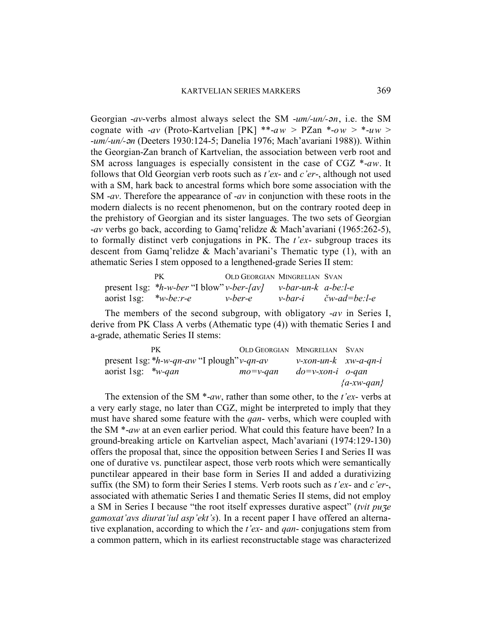Georgian -*av*-verbs almost always select the SM -*um/-un/-*´*n*, i.e. the SM cognate with *-av* (Proto-Kartvelian [PK] \*\**-aw* > PZan \**-ow* > \**-uw* > -*um/-un/-*´*n* (Deeters 1930:124-5; Danelia 1976; Mach'avariani 1988)). Within the Georgian-Zan branch of Kartvelian, the association between verb root and SM across languages is especially consistent in the case of CGZ \*-*aw*. It follows that Old Georgian verb roots such as *t'ex*- and *c'er*-, although not used with a SM, hark back to ancestral forms which bore some association with the SM -*av*. Therefore the appearance of -*av* in conjunction with these roots in the modern dialects is no recent phenomenon, but on the contrary rooted deep in the prehistory of Georgian and its sister languages. The two sets of Georgian -*av* verbs go back, according to Gamq'relidze & Mach'avariani (1965:262-5), to formally distinct verb conjugations in PK. The *t'ex*- subgroup traces its descent from Gamq'relidze & Mach'avariani's Thematic type (1), with an athematic Series I stem opposed to a lengthened-grade Series II stem:

|                                    | PK.                                                                          | OLD GEORGIAN MINGRELIAN SVAN |                         |
|------------------------------------|------------------------------------------------------------------------------|------------------------------|-------------------------|
|                                    | present 1sg: *h-w-ber "I blow" v-ber- $\lceil av \rceil$ v-bar-un-k a-be:l-e |                              |                         |
| aorist 1sg: $\frac{1}{2}w$ -be:r-e |                                                                              | v-ber-e                      | $v$ -bar-i čw-ad=be:l-e |

The members of the second subgroup, with obligatory -*av* in Series I, derive from PK Class A verbs (Athematic type (4)) with thematic Series I and a-grade, athematic Series II stems:

| PK.                                           | OLD GEORGIAN MINGRELIAN SVAN |                            |              |
|-----------------------------------------------|------------------------------|----------------------------|--------------|
| present 1sg: *h-w-qn-aw "I plough" $v$ -qn-av |                              | $v$ -xon-un- $k$ xw-a-qn-i |              |
| aorist 1sg: $\sqrt[k]{w}$ -qan                | $mo=v$ -gan                  | $do=v-xon-i$ o-qan         |              |
|                                               |                              |                            | ${a-xw-qan}$ |

The extension of the SM \*-*aw*, rather than some other, to the *t'ex*- verbs at a very early stage, no later than CGZ, might be interpreted to imply that they must have shared some feature with the *qan*- verbs, which were coupled with the SM \*-*aw* at an even earlier period. What could this feature have been? In a ground-breaking article on Kartvelian aspect, Mach'avariani (1974:129-130) offers the proposal that, since the opposition between Series I and Series II was one of durative vs. punctilear aspect, those verb roots which were semantically punctilear appeared in their base form in Series II and added a durativizing suffix (the SM) to form their Series I stems. Verb roots such as *t'ex*- and *c'er*-, associated with athematic Series I and thematic Series II stems, did not employ a SM in Series I because "the root itself expresses durative aspect" (*tvit pu*ze *gamoxat'avs diurat'iul asp'ekt's*). In a recent paper I have offered an alternative explanation, according to which the *t'ex*- and *qan*- conjugations stem from a common pattern, which in its earliest reconstructable stage was characterized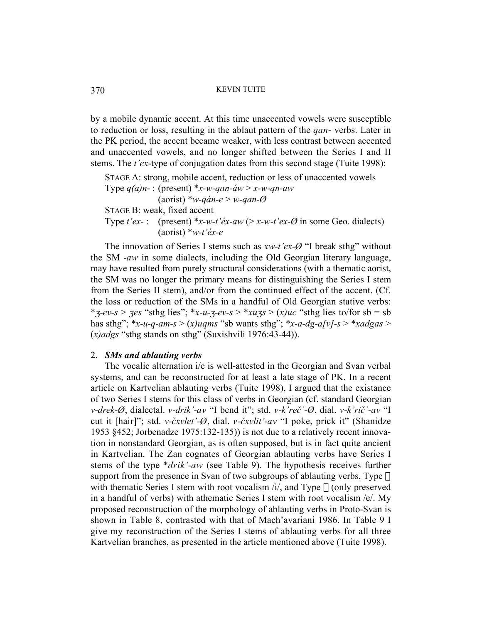by a mobile dynamic accent. At this time unaccented vowels were susceptible to reduction or loss, resulting in the ablaut pattern of the *qan*- verbs. Later in the PK period, the accent became weaker, with less contrast between accented and unaccented vowels, and no longer shifted between the Series I and II stems. The *t'ex*-type of conjugation dates from this second stage (Tuite 1998):

STAGE A: strong, mobile accent, reduction or less of unaccented vowels Type  $q(a)n-$ : (present)  $*x-w-qan-aw > x-w-qn-aw$ (aorist) \**w-qán-e* > *w-qan-Ø* STAGE B: weak, fixed accent Type *t'ex*-: (present)  $*x-w-t'ex-aw$  (>  $x-w-t'ex-Ø$  in some Geo. dialects) (aorist) \**w-t'éx-e*

The innovation of Series I stems such as *xw-t'ex-Ø* "I break sthg" without the SM -*aw* in some dialects, including the Old Georgian literary language, may have resulted from purely structural considerations (with a thematic aorist, the SM was no longer the primary means for distinguishing the Series I stem from the Series II stem), and/or from the continued effect of the accent. (Cf. the loss or reduction of the SMs in a handful of Old Georgian stative verbs: \**z-ev-s* > *zes* "sthg lies"; \**x-u-z-ev-s* > \**xuzs* > (*x*)*uc* "sthg lies to/for sb = sb has sthg"; \**x-u-q-am-s* > (*x)uqms* "sb wants sthg"; \**x-a-dg-a[v]-s* > \**xadgas* > (*x)adgs* "sthg stands on sthg" (Suxishvili 1976:43-44)).

## 2. *SMs and ablauting verbs*

The vocalic alternation i/e is well-attested in the Georgian and Svan verbal systems, and can be reconstructed for at least a late stage of PK. In a recent article on Kartvelian ablauting verbs (Tuite 1998), I argued that the existance of two Series I stems for this class of verbs in Georgian (cf. standard Georgian *v-drek-Ø*, dialectal. *v-drik'-av* "I bend it"; std. *v-k're™'-Ø*, dial. *v-k'ri™'-av* "I cut it [hair]"; std. *v-™xvlet'-Ø*, dial. *v-™xvlit'-av* "I poke, prick it" (Shanidze 1953 §452; Jorbenadze 1975:132-135)) is not due to a relatively recent innovation in nonstandard Georgian, as is often supposed, but is in fact quite ancient in Kartvelian. The Zan cognates of Georgian ablauting verbs have Series I stems of the type \**drik'-aw* (see Table 9). The hypothesis receives further support from the presence in Svan of two subgroups of ablauting verbs, Type  $\alpha$ with thematic Series I stem with root vocalism  $/i$ , and Type  $\beta$  (only preserved in a handful of verbs) with athematic Series I stem with root vocalism /e/. My proposed reconstruction of the morphology of ablauting verbs in Proto-Svan is shown in Table 8, contrasted with that of Mach'avariani 1986. In Table 9 I give my reconstruction of the Series I stems of ablauting verbs for all three Kartvelian branches, as presented in the article mentioned above (Tuite 1998).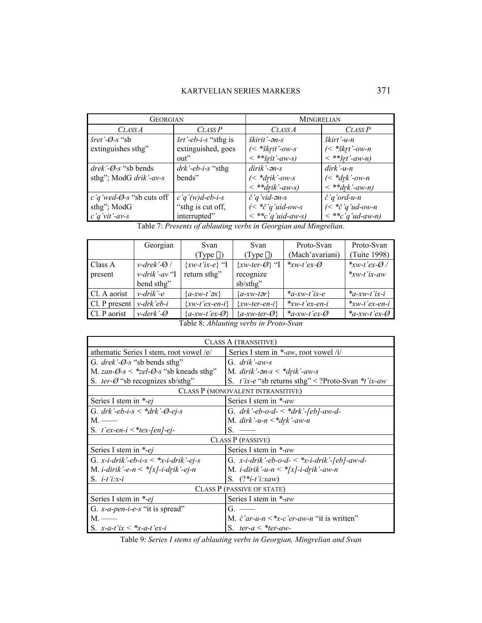# KARTVELIAN SERIES MARKERS 371

| GEORGIAN                                     |                                 | <b>MINGRELIAN</b>                     |                                    |  |
|----------------------------------------------|---------------------------------|---------------------------------------|------------------------------------|--|
| CLASSA<br>CLASSP                             |                                 | CLASSA                                | CLASSP                             |  |
| $\text{Sret}'$ - $\varnothing$ -s "sb        | $\check{s}rt'$ -eb-i-s "sthg is | škirit'-ən-s                          | škirt'-u-n                         |  |
| extinguishes sthg"                           | extinguished, goes              | $\ll$ * škrit'-ow-s                   | $\ll$ * škrt'-ow-n                 |  |
|                                              | out"                            | $\langle$ ** <i>šrit</i> '-aw-s)      | $\langle$ ** $\check{s}$ rt'-aw-n) |  |
| $\text{d}$ rek'- $\varnothing$ -s "sb bends" | $drk'$ -eb-i-s "sthg            | $dirik'$ - $2n-s$                     | $\text{d}$ irk'-u-n                |  |
| sthg"; ModG drik'-av-s                       | bends"                          | $\ll$ *drik'-ow-s                     | $\ll$ *drk'-ow-n                   |  |
|                                              |                                 | $\langle$ **drik'-aw-s)               | $\langle$ **drk'-aw-n)             |  |
| c'q'wed- $\varnothing$ -s "sb cuts off       | $c'q'(w)d$ -eb-i-s              | $\check{c}$ 'q'vid- $\mathfrak{m}$ -s | $\check{c}$ 'q'ord-u-n             |  |
| sthg"; ModG                                  | "sthg is cut off,               | $\ll$ *č'q'uid-ow-s                   | $\ll$ *č'q'ud-ow-n                 |  |
| $c'q'$ vit '-av-s                            | interrupted"                    | $\langle$ **c'q'uid-aw-s)             | $\langle$ **c'q'ud-aw-n)           |  |

Table 7: *Presents of ablauting verbs in Georgian and Mingrelian.*

|                 | Georgian                    | Svan                    | Svan                            | Proto-Svan                    | Proto-Svan                      |
|-----------------|-----------------------------|-------------------------|---------------------------------|-------------------------------|---------------------------------|
|                 |                             | (Type $\alpha$ )        | $(\text{Type }\beta)$           | (Mach'avariani)               | (Tuite 1998)                    |
| Class A         | $v$ -drek'- $\varnothing$ / | $\{xw-t'ix-e\}$ "I      | $\{xw\text{-}ter\text{-}O\}$ "I | $*_{xw-t'ex}$ - $\varnothing$ | $*_{xw-t'ex}$ - $\varnothing$ / |
| present         | $v$ -drik'-av "I            | return sthg"            | recognize                       |                               | $*_{xw-t'ix-aw}$                |
|                 | bend sthg"                  |                         | sb/sthg"                        |                               |                                 |
| Cl. A aorist    | $v$ -drik'-e                | ${a-xw-t'xx}$           | ${a-xw-t}$                      | $a$ -xw-t'ix-e                | $*_a$ -xw-t'ix-i                |
| $Cl.$ P present | $v$ -drk'eb-i               | $\{xw-t'ex-en-i\}$      | $\{xw-ter-en-i\}$               | $*xw-t'ex-en-i$               | $*xw-t'ex-en-i$                 |
| Cl. P aorist    | $v$ -derk'- $\varnothing$   | ${a-xw-t'ex-\emptyset}$ | ${a-xw-ter-\emptyset}$          | $a$ -xw-t'ex- $\varnothing$   | $a$ -xw-t'ex- $\emptyset$       |

Table 8: *Ablauting verbs in Proto-Svan*

| CLASS A (TRANSITIVE)                                               |                                                                   |  |  |
|--------------------------------------------------------------------|-------------------------------------------------------------------|--|--|
| athematic Series I stem, root vowel /e/                            | Series I stem in $*$ -aw, root vowel /i/                          |  |  |
| G. <i>drek'-<math>\varnothing</math>-s</i> "sb bends sthg"         | G. $drik'$ -aw-s                                                  |  |  |
| M. zan- $\varnothing$ -s < *zel- $\varnothing$ -s "sb kneads sthg" | M. dirik'- $\mathcal{D}n-s \leq \alpha^* d_{g}$ rik'-aw-s         |  |  |
| S. ter- $\emptyset$ "sb recognizes sb/sthg"                        | S. <i>t'ix-e</i> "sb returns sthg" < ?Proto-Svan * <i>t'ix-aw</i> |  |  |
|                                                                    | CLASS P (MONOVALENT INTRANSITIVE)                                 |  |  |
| Series I stem in *-ej                                              | Series I stem in *-aw                                             |  |  |
| G. $drk'$ -eb-i-s $\lt^* drk'$ - $\varnothing$ -ej-s               | G. $drk'$ -eb-o-d- < *drk'-[eb]-aw-d-                             |  |  |
| $M$ . ——                                                           | M. dirk'-u-n $\lt^*$ drk'-aw-n                                    |  |  |
| S. $t'ex-en-i \leq *text-fen]-ej-$                                 | S.                                                                |  |  |
|                                                                    | CLASS P (PASSIVE)                                                 |  |  |
| Series I stem in *-ej                                              | Series I stem in $-aw$                                            |  |  |
| G. x-i-drik'-eb-i- $s <$ *x-i-drik'-ej-s                           | G. x-i-drik'-eb-o-d- $\lt^*$ x-i-drik'-[eb]-aw-d-                 |  |  |
| M. <i>i-dirik'-e-n</i> $\lt$ *[x]- <i>i-drik'-ej-n</i>             | M. <i>i-dirik'-u-n</i> $\lt$ *[x]-i-drik'-aw-n                    |  |  |
| $S.$ <i>i-t'i:x-i</i>                                              | S. $(? * i - t'i : xaw)$                                          |  |  |
|                                                                    | <b>CLASS P (PASSIVE OF STATE)</b>                                 |  |  |
| Series I stem in *-ej                                              | Series I stem in $*$ -aw                                          |  |  |
| G. $x$ -a-pen-i-e-s "it is spread"                                 | G.                                                                |  |  |
| M -                                                                | M. $\check{c}'$ ar-u-n < *x-c'er-aw-n "it is written"             |  |  |
| S. $x-a-t'ix < *x-a-t'ex-i$                                        | S. ter- $a < *$ ter-aw-                                           |  |  |

Table 9: *Series I stems of ablauting verbs in Georgian, Mingrelian and Svan*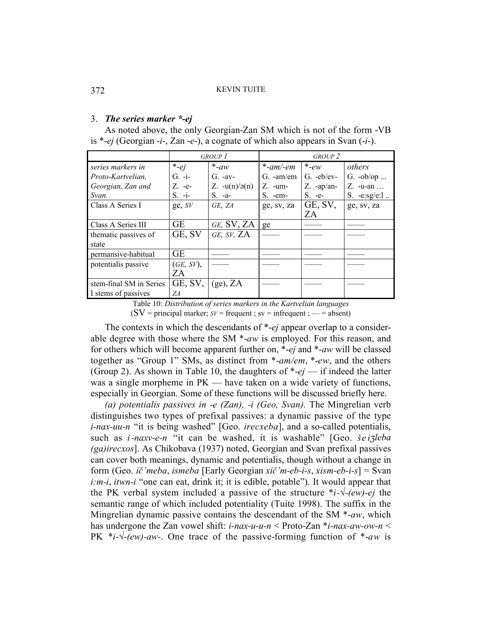## 3. *The series marker \*-ej*

As noted above, the only Georgian-Zan SM which is not of the form -VB is \*-*ej* (Georgian -*i*-, Zan -*e*-), a cognate of which also appears in Svan (-*i*-).

|                         |           | <b>GROUP</b> 1        |                  | <b>GROUP 2</b> |                   |
|-------------------------|-----------|-----------------------|------------------|----------------|-------------------|
| series markers in       | $*-ej$    | $*$ -aw               | $*$ -am/-em      | $*$ -ew        | others            |
| Proto-Kartvelian.       | $G. -i$   | $G. -av-$             | $G. -am/cm$      | $G.$ -eb/ev-   | $G. -ob <$ op     |
| Georgian, Zan and       | $Z - e$   | Z. $-u(n)/\varphi(n)$ | $Z_{\cdot}$ -um- | $Z. -ap/an-$   | $Z. -u-an \ldots$ |
| Svan.                   | $S - i$   | $S - a$               | $S.$ -em-        | $S - e$        | S. $-e:sg/e:1$    |
| Class A Series I        | ge, SV    | GE, ZA                | ge, sv, za       | GE, SV,        | ge, sv, za        |
|                         |           |                       |                  | ZA             |                   |
| Class A Series III      | <b>GE</b> | GE, SV, ZA            | ge               |                |                   |
| thematic passives of    | GE, SV    | GE, SV, ZA            |                  |                |                   |
| state                   |           |                       |                  |                |                   |
| permansive-habitual     | <b>GE</b> |                       |                  |                |                   |
| potentialis passive     | (GE, SV), |                       |                  |                |                   |
|                         | ZΑ        |                       |                  |                |                   |
| stem-final SM in Series | GE, SV,   | (ge), ZA              |                  |                |                   |
| I stems of passives     | ZA        |                       |                  |                |                   |

Table 10: *Distribution of series markers in the Kartvelian languages*  $(SV = principal marker; SV = frequent; sv = infrequent; — = absent)$ 

The contexts in which the descendants of \*-*ej* appear overlap to a considerable degree with those where the SM \*-*aw* is employed. For this reason, and for others which will become apparent further on, \*-*ej* and \*-*aw* will be classed together as "Group 1" SMs, as distinct from \*-*am/em*, \*-*ew*, and the others (Group 2). As shown in Table 10, the daughters of \*-*ej* — if indeed the latter was a single morpheme in PK — have taken on a wide variety of functions, especially in Georgian. Some of these functions will be discussed briefly here.

*(a) potentialis passives in -e (Zan), -i (Geo, Svan).* The Mingrelian verb distinguishes two types of prefixal passives: a dynamic passive of the type *i-nax-uu-n* "it is being washed" [Geo. *irecxeba*], and a so-called potentialis, such as *i-naxv-e-n* "it can be washed, it is washable" [Geo. *šeizleba (ga)irecxos*]. As Chikobava (1937) noted, Georgian and Svan prefixal passives can cover both meanings, dynamic and potentialis, though without a change in form (Geo. *i™'meba*, *ismeba* [Early Georgian *xi™'m-eb-i-s*, *xism-eb-i-s*] = Svan *i:m-i, itwn-i* "one can eat, drink it; it is edible, potable"). It would appear that the PK verbal system included a passive of the structure \**i-√-(ew)-ej* the semantic range of which included potentiality (Tuite 1998). The suffix in the Mingrelian dynamic passive contains the descendant of the SM \*-*aw*, which has undergone the Zan vowel shift: *i-nax-u-u-n* < Proto-Zan \**i-nax-aw-ow-n* < PK \**i-√-(ew)-aw-*. One trace of the passive-forming function of \*-*aw* is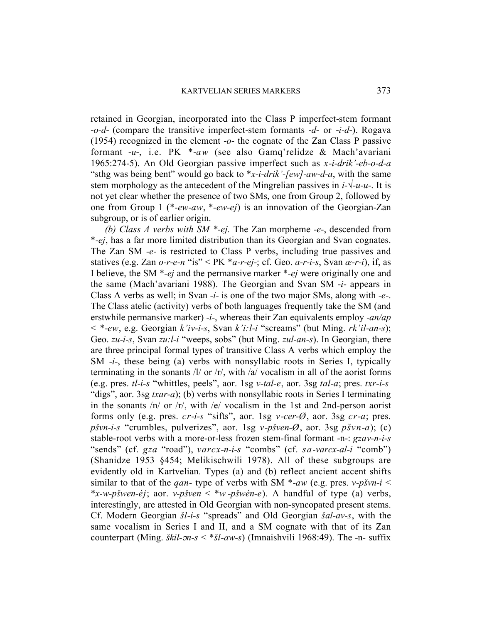retained in Georgian, incorporated into the Class P imperfect-stem formant -*o-d*- (compare the transitive imperfect-stem formants -*d*- or -*i-d*-). Rogava (1954) recognized in the element -*o*- the cognate of the Zan Class P passive formant -*u*-, i.e. PK \*-*aw* (see also Gamq'relidze & Mach'avariani 1965:274-5). An Old Georgian passive imperfect such as *x-i-drik'-eb-o-d-a* "sthg was being bent" would go back to \**x-i-drik'-[ew]-aw-d-a*, with the same stem morphology as the antecedent of the Mingrelian passives in *i-√-u-u-*. It is not yet clear whether the presence of two SMs, one from Group 2, followed by one from Group 1 (\**-ew-aw*, \**-ew-ej*) is an innovation of the Georgian-Zan subgroup, or is of earlier origin.

*(b) Class A verbs with SM \*-ej.* The Zan morpheme -*e*-, descended from \**-ej*, has a far more limited distribution than its Georgian and Svan cognates. The Zan SM -*e*- is restricted to Class P verbs, including true passives and statives (e.g. Zan *o-r-e-n* "is" < PK \**a-r-ej-*; cf. Geo. *a-r-i-s*, Svan *æ-r-i*), if, as I believe, the SM \**-ej* and the permansive marker \**-ej* were originally one and the same (Mach'avariani 1988). The Georgian and Svan SM -*i*- appears in Class A verbs as well; in Svan -*i*- is one of the two major SMs, along with -*e*-. The Class atelic (activity) verbs of both languages frequently take the SM (and erstwhile permansive marker) -*i*-, whereas their Zan equivalents employ -*an/ap* < \**-ew*, e.g. Georgian *k'iv-i-s*, Svan *k'i:l-i* "screams" (but Ming. *rk'il-an-s*); Geo. *zu-i-s*, Svan *zu:l-i* "weeps, sobs" (but Ming. *zul-an-s*). In Georgian, there are three principal formal types of transitive Class A verbs which employ the SM -*i*-, these being (a) verbs with nonsyllabic roots in Series I, typically terminating in the sonants  $\frac{1}{\alpha}$  or  $\frac{1}{\alpha}$ , with  $\frac{1}{\alpha}$  vocalism in all of the aorist forms (e.g. pres. *tl-i-s* "whittles, peels", aor. 1sg *v-tal-e*, aor. 3sg *tal-a*; pres. *txr-i-s* "digs", aor. 3sg *txar-a*); (b) verbs with nonsyllabic roots in Series I terminating in the sonants /n/ or /r/, with /e/ vocalism in the 1st and 2nd-person aorist forms only (e.g. pres. *cr-i-s* "sifts", aor. 1sg *v-cer-Ø*, aor. 3sg *cr-a*; pres.  $p$ *švn-i-s* "crumbles, pulverizes", aor. 1sg *v-pšven-Ø*, aor. 3sg  $p$ *švn-a*); (c) stable-root verbs with a more-or-less frozen stem-final formant -n-: *gzav-n-i-s* "sends" (cf. *gza* "road"), *varcx-n-i-s* "combs" (cf. *sa-varcx-al-i* "comb") (Shanidze 1953 §454; Melikischwili 1978). All of these subgroups are evidently old in Kartvelian. Types (a) and (b) reflect ancient accent shifts similar to that of the *qan*- type of verbs with SM  $*$ -*aw* (e.g. pres. *v*-*pšvn-i* <  $*_{x-w-p\check{y}wen-\check{e}j$ ; aor. *v-p* $\check{y}ven < *w-p\check{y}win-\check{e}j$ . A handful of type (a) verbs, interestingly, are attested in Old Georgian with non-syncopated present stems. Cf. Modern Georgian *£l-i-s* "spreads" and Old Georgian *£al-av-s*, with the same vocalism in Series I and II, and a SM cognate with that of its Zan counterpart (Ming.  $\frac{8}{2}$ *kil-on-s* < \* $\frac{8}{2}$ *l-aw-s*) (Imnaishvili 1968:49). The -n- suffix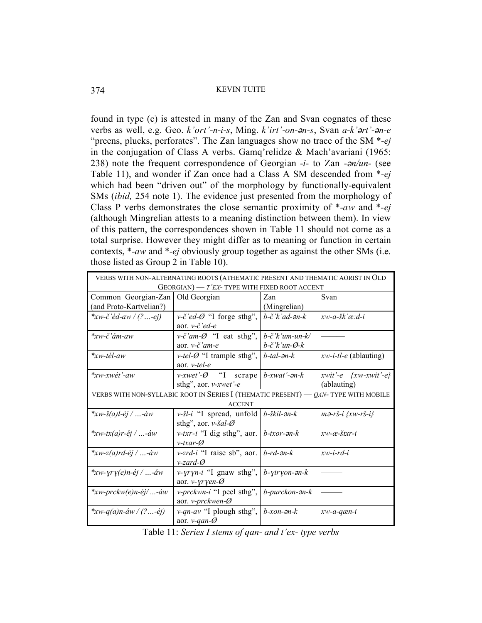found in type (c) is attested in many of the Zan and Svan cognates of these verbs as well, e.g. Geo. *k'ort'-n-i-s*, Ming. *k'irt'-on-an-s*, Svan *a-k'art'-an-e* "preens, plucks, perforates". The Zan languages show no trace of the SM \**-ej* in the conjugation of Class A verbs. Gamq'relidze & Mach'avariani (1965: 238) note the frequent correspondence of Georgian -*i*- to Zan - $\partial n / u_n$ - (see Table 11), and wonder if Zan once had a Class A SM descended from \**-ej* which had been "driven out" of the morphology by functionally-equivalent SMs (*ibid,* 254 note 1). The evidence just presented from the morphology of Class P verbs demonstrates the close semantic proximity of \**-aw* and \**-ej* (although Mingrelian attests to a meaning distinction between them). In view of this pattern, the correspondences shown in Table 11 should not come as a total surprise. However they might differ as to meaning or function in certain contexts, \**-aw* and \**-ej* obviously group together as against the other SMs (i.e. those listed as Group 2 in Table 10).

| VERBS WITH NON-ALTERNATING ROOTS (ATHEMATIC PRESENT AND THEMATIC AORIST IN OLD<br>$G$ EORGIAN $) - T'EX$ - TYPE WITH FIXED ROOT ACCENT |                                                                                                        |                                                              |                                                             |  |  |  |
|----------------------------------------------------------------------------------------------------------------------------------------|--------------------------------------------------------------------------------------------------------|--------------------------------------------------------------|-------------------------------------------------------------|--|--|--|
| Common Georgian-Zan<br>and Proto-Kartvelian?)                                                                                          | Old Georgian<br>Zan<br>(Mingrelian)                                                                    |                                                              |                                                             |  |  |  |
| *xw-č'éd-aw / (?-ej)                                                                                                                   | $v$ -č'ed-Ø "I forge sthg",<br>aor. $v-\check{c}'ed-e$                                                 | $b-\check{c}$ 'k'ad-ən-k                                     | $xw-a-\check{s}k'x:d-i$                                     |  |  |  |
| $*_{xw-\check{c}}'$ ám-aw                                                                                                              | $v$ -č'am- $\emptyset$ "I eat sthg",<br>aor. $v-\check{c}'$ am-e                                       | $b - c'k'$ um-un-k/<br>$b-\check{c}$ 'k'un- $\varnothing$ -k |                                                             |  |  |  |
| $*xw-tél-aw$                                                                                                                           | $v$ -tel- $\emptyset$ "I trample sthg",<br>aor. $v$ -tel-e                                             | $b$ -tal- $\partial n-k$                                     | $xw-i-tl-e$ (ablauting)                                     |  |  |  |
| $*_{xw-xw\acute{e}t' - aw}$                                                                                                            | $v$ -xwet'- $\emptyset$ "I scrape"<br>sthg", aor. $v$ -xwet'-e                                         | $b$ -xwat'- $\mathcal{D}$ n- $k$                             | xwit'-e $\{xw\text{-}xw\text{ }i\text{-}e\}$<br>(ablauting) |  |  |  |
|                                                                                                                                        | VERBS WITH NON-SYLLABIC ROOT IN SERIES I (THEMATIC PRESENT) — $QAN$ -TYPE WITH MOBILE<br><b>ACCENT</b> |                                                              |                                                             |  |  |  |
| *xw- $\check{s}(a)$ l-éj / -áw                                                                                                         | $v$ - <i>šl-i</i> "I spread, unfold<br>sthg", aor. $v$ -šal- $\varnothing$                             | $b$ -škil- $2n-k$                                            | $m$ ə-rš-i {xw-rš-i}                                        |  |  |  |
| *xw-tx(a)r-éj / -áw                                                                                                                    | $v$ -txr-i "I dig sthg", aor.<br>$v$ -txar- $\varnothing$                                              | $b$ -txor- $\partial n-k$                                    | xw-æ-štxr-i                                                 |  |  |  |
| $*xw-z(a)rd-ej/-aw$                                                                                                                    | $v$ -zrd-i "I raise sb", aor.<br>$v$ -zard- $\varnothing$                                              | $b$ -rd-ən- $k$                                              | $xw-i-rd-i$                                                 |  |  |  |
| $*xw-yry(e)n-ej /  - dw$                                                                                                               | $v$ - <i>yryn-i</i> "I gnaw sthg",<br>aor. v- $\gamma$ ryen- $\varnothing$                             | $b$ -yiryon-ən- $k$                                          |                                                             |  |  |  |
| $*xw-prokw(e)n-ej/-av$                                                                                                                 | $v$ -prckwn-i "I peel sthg",<br>aor. v-prckwen-Ø                                                       | b-purckon-ən-k                                               |                                                             |  |  |  |
| *xw-q(a)n-áw / (?-éj)                                                                                                                  | $v$ -qn-av "I plough sthg",<br>aor. $v$ -qan- $\varnothing$                                            | $b$ -xon-ən- $k$                                             | $xw-a-q$ <i>en-i</i>                                        |  |  |  |

Table 11: *Series I stems of qan- and t'ex- type verbs*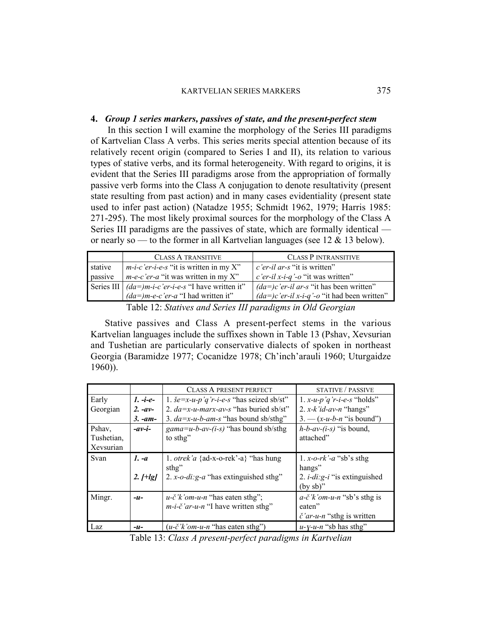## **4.** *Group 1 series markers, passives of state, and the present-perfect stem*

In this section I will examine the morphology of the Series III paradigms of Kartvelian Class A verbs. This series merits special attention because of its relatively recent origin (compared to Series I and II), its relation to various types of stative verbs, and its formal heterogeneity. With regard to origins, it is evident that the Series III paradigms arose from the appropriation of formally passive verb forms into the Class A conjugation to denote resultativity (present state resulting from past action) and in many cases evidentiality (present state used to infer past action) (Natadze 1955; Schmidt 1962, 1979; Harris 1985: 271-295). The most likely proximal sources for the morphology of the Class A Series III paradigms are the passives of state, which are formally identical or nearly so — to the former in all Kartvelian languages (see  $12 \& 13$  below).

|         | <b>CLASS A TRANSITIVE</b>                                  | <b>CLASS P INTRANSITIVE</b>                   |
|---------|------------------------------------------------------------|-----------------------------------------------|
| stative | $m-i-c'er-i-e-s$ "it is written in my X"                   | c'er-il ar-s "it is written"                  |
| passive | $m-e-c'er-a$ "it was written in my X"                      | $c'$ er-il x-i-q'-o "it was written"          |
|         | Series III $\vert$ (da=)m-i-c'er-i-e-s "I have written it" | $(da=)c'er-il$ ar-s "it has been written"     |
|         | $(da=)$ m-e-c'er-a "I had written it"                      | $(da=)c'er-ilx-i-q'-o''$ it had been written" |

Table 12: *Statives and Series III paradigms in Old Georgian*

Stative passives and Class A present-perfect stems in the various Kartvelian languages include the suffixes shown in Table 13 (Pshav, Xevsurian and Tushetian are particularly conservative dialects of spoken in northeast Georgia (Baramidze 1977; Cocanidze 1978; Ch'inch'arauli 1960; Uturgaidze 1960)).

|            |            | <b>CLASS A PRESENT PERFECT</b>                       | <b>STATIVE / PASSIVE</b>                      |
|------------|------------|------------------------------------------------------|-----------------------------------------------|
| Early      | $1. -i-e-$ | 1. $\check{s}e = x-u-p'q'r-i-e-s$ "has seized sb/st" | 1. $x$ -u-p'q'r-i-e-s "holds"                 |
| Georgian   | 2. $-av-$  | 2. $da=x-u-max-av-s$ "has buried sb/st"              | 2. $x-k$ 'id-av-n "hangs"                     |
|            | $3. -am -$ | 3. $da=x-u-b-am-s$ "has bound sb/sthg"               | 3. — $(x-u-b-n$ "is bound")                   |
| Pshav,     | $-av-i-$   | $gamma=u-b-av-(i-s)$ "has bound sb/sthg"             | $h-b-av-(i-s)$ "is bound,                     |
| Tushetian, |            | to sthg"                                             | attached"                                     |
| Xevsurian  |            |                                                      |                                               |
| Svan       | $1. -a$    | 1. <i>otrek'a</i> {ad-x-o-rek'-a} "has hung          | 1. $x$ -o-rk'-a "sb's sthg"                   |
|            |            | sthg"                                                | hangs"                                        |
|            | 2. $[+lg]$ | 2. $x$ -o-di: $g$ -a "has extinguished sthg"         | 2. <i>i-di:g-i</i> "is extinguished           |
|            |            |                                                      | $(by sb)$ "                                   |
| Mingr.     | $-u-$      | $u-\check{c}$ 'k'om-u-n "has eaten sthg";            | $a-\check{c}$ 'k'om-u-n "sb's sthg is         |
|            |            | $m-i-{\check{c}}'ar-u-n$ "I have written sthg"       | eaten <sup>"</sup>                            |
|            |            |                                                      | $\check{c}'$ ar-u-n "sthg is written"         |
| Laz        | -и-        | $(u-\check{c}\acute{c}$ ' k'om-u-n "has eaten sthg") | $u$ - <i>y</i> - $u$ - <i>n</i> "sb has sthg" |

Table 13: *Class A present-perfect paradigms in Kartvelian*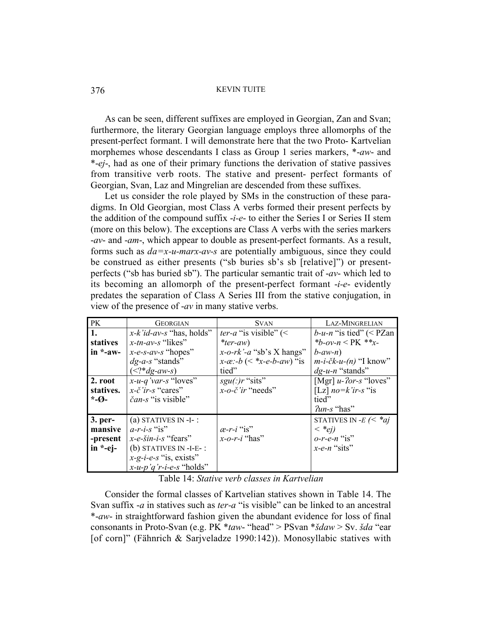As can be seen, different suffixes are employed in Georgian, Zan and Svan; furthermore, the literary Georgian language employs three allomorphs of the present-perfect formant. I will demonstrate here that the two Proto- Kartvelian morphemes whose descendants I class as Group 1 series markers, \*-*aw*- and \*-*ej*-, had as one of their primary functions the derivation of stative passives from transitive verb roots. The stative and present- perfect formants of Georgian, Svan, Laz and Mingrelian are descended from these suffixes.

Let us consider the role played by SMs in the construction of these paradigms. In Old Georgian, most Class A verbs formed their present perfects by the addition of the compound suffix -*i-e*- to either the Series I or Series II stem (more on this below). The exceptions are Class A verbs with the series markers -*av*- and -*am*-, which appear to double as present-perfect formants. As a result, forms such as *da=x-u-marx-av-s* are potentially ambiguous, since they could be construed as either presents ("sb buries sb's sb [relative]") or presentperfects ("sb has buried sb"). The particular semantic trait of -*av*- which led to its becoming an allomorph of the present-perfect formant -*i-e*- evidently predates the separation of Class A Series III from the stative conjugation, in view of the presence of -*av* in many stative verbs.

| PK            |                                            | <b>SVAN</b>                                      |                                                           |
|---------------|--------------------------------------------|--------------------------------------------------|-----------------------------------------------------------|
|               | <b>GEORGIAN</b>                            |                                                  | LAZ-MINGRELIAN                                            |
| 1.            | $x-k$ 'id-av-s "has, holds"                | <i>ter-a</i> "is visible" $\ll$                  | b-u-n "is tied" (< PZan                                   |
| statives      | $x$ -tn-av-s "likes"                       | $*ter-aw)$                                       | *b-ov-n < PK **x-                                         |
| in $*$ -aw-   | $x-e-s-av-s$ "hopes"                       | $x$ -o-rk'-a "sb's X hangs"                      | $b$ -aw-n $)$                                             |
|               | $dg-a-s$ "stands"                          | <i>x-æ:-b</i> (< * <i>x-e-b-aw</i> ) "is         | $m-i-\check{c}k-u-(n)$ "I know"                           |
|               | $(\leq ? * dg$ -aw-s)                      | tied"                                            | $dg-u-n$ "stands"                                         |
| $2.$ root     | $x$ -u-q'var-s "loves"                     | $sgu(')$ r "sits"                                | [Mgr] $u$ - $2$ or-s "loves"                              |
| statives.     | $x-\tilde{c}$ ' <i>ir-s</i> "cares"        | $x$ - <i>o</i> - $\check{c}$ ' <i>ir</i> "needs" | [Lz] $no = k'ir-s$ "is                                    |
| $-Q$ -        | <i>čan-s</i> "is visible"                  |                                                  | tied"                                                     |
|               |                                            |                                                  | $2u$ n-s "has"                                            |
| 3. per-       | (a) STATIVES IN $-I-$ :                    |                                                  | STATIVES IN -E $\left\langle \leq \ast a_i \right\rangle$ |
| mansive       | $a-r-i-s$ "is"                             | $\alpha$ -r-i "is"                               | $\langle *_{ei} \rangle$                                  |
| -present      | $x-e\text{-}sin\text{-}i\text{-}s$ "fears" | $x$ - <i>o</i> - <i>r</i> - <i>i</i> "has"       | $o-r-e-n$ "is"                                            |
| $in$ $*$ -ej- | (b) STATIVES IN $-I-E-$ :                  |                                                  | $x$ -e-n "sits"                                           |
|               | $x-g-i-e-s$ "is, exists"                   |                                                  |                                                           |
|               | $x$ -u-p'q'r-i-e-s "holds"                 |                                                  |                                                           |

Table 14: *Stative verb classes in Kartvelian*

Consider the formal classes of Kartvelian statives shown in Table 14. The Svan suffix -*a* in statives such as *ter-a* "is visible" can be linked to an ancestral \*-*aw*- in straightforward fashion given the abundant evidence for loss of final consonants in Proto-Svan (e.g. PK \**taw*- "head" > PSvan \**£daw* > Sv. *£da* "ear [of corn]" (Fähnrich & Sarjveladze 1990:142)). Monosyllabic statives with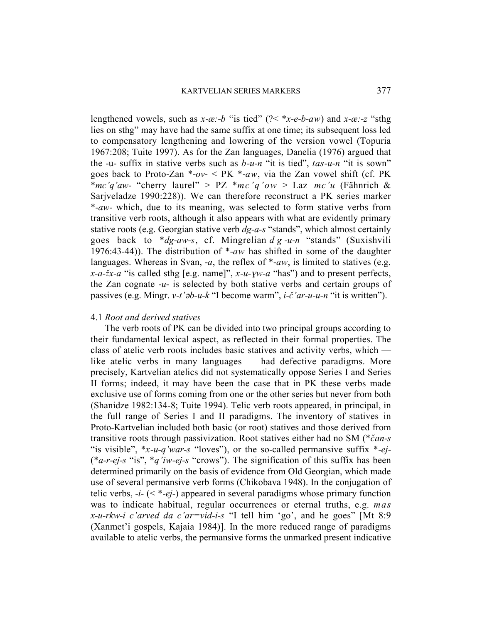lengthened vowels, such as  $x$ -*æ*:-*b* "is tied" (?< \**x*-*e*-*b*-*aw*) and  $x$ -*æ*:-*z* "sthg lies on sthg" may have had the same suffix at one time; its subsequent loss led to compensatory lengthening and lowering of the version vowel (Topuria 1967:208; Tuite 1997). As for the Zan languages, Danelia (1976) argued that the -u- suffix in stative verbs such as *b-u-n* "it is tied", *tas-u-n* "it is sown" goes back to Proto-Zan \*-*ov*- < PK \*-*aw*, via the Zan vowel shift (cf. PK \**mc'q'aw*- "cherry laurel" > PZ \**mc'q'ow* > Laz *mc'u* (Fähnrich & Sarjveladze 1990:228)). We can therefore reconstruct a PK series marker \*-*aw*- which, due to its meaning, was selected to form stative verbs from transitive verb roots, although it also appears with what are evidently primary stative roots (e.g. Georgian stative verb *dg-a-s* "stands", which almost certainly goes back to \**dg-aw-s*, cf. Mingrelian *dg-u-n* "stands" (Suxishvili 1976:43-44)). The distribution of \*-*aw* has shifted in some of the daughter languages. Whereas in Svan, -*a*, the reflex of \*-*aw*, is limited to statives (e.g.  $x-a-z$ <sup>x-a</sup> is called sthg [e.g. name]",  $x-u-yw-a$  "has") and to present perfects, the Zan cognate -*u*- is selected by both stative verbs and certain groups of passives (e.g. Mingr.  $v-t'$ <sup> $\phi$ </sup>*-u-k* "I become warm",  $i-\check{c}'$  *ar-u-u-n* "it is written").

## 4.1 *Root and derived statives*

The verb roots of PK can be divided into two principal groups according to their fundamental lexical aspect, as reflected in their formal properties. The class of atelic verb roots includes basic statives and activity verbs, which like atelic verbs in many languages — had defective paradigms. More precisely, Kartvelian atelics did not systematically oppose Series I and Series II forms; indeed, it may have been the case that in PK these verbs made exclusive use of forms coming from one or the other series but never from both (Shanidze 1982:134-8; Tuite 1994). Telic verb roots appeared, in principal, in the full range of Series I and II paradigms. The inventory of statives in Proto-Kartvelian included both basic (or root) statives and those derived from transitive roots through passivization. Root statives either had no SM (\* $\check{c}$ an-s "is visible", \**x-u-q'war-s* "loves"), or the so-called permansive suffix \*-*ej*- (\**a-r-ej-s* "is", \**q'iw-ej-s* "crows"). The signification of this suffix has been determined primarily on the basis of evidence from Old Georgian, which made use of several permansive verb forms (Chikobava 1948). In the conjugation of telic verbs, -*i*- (< \*-*ej*-) appeared in several paradigms whose primary function was to indicate habitual, regular occurrences or eternal truths, e.g. *mas x-u-rkw-i c'arved da c'ar=vid-i-s* "I tell him 'go', and he goes" [Mt 8:9 (Xanmet'i gospels, Kajaia 1984)]. In the more reduced range of paradigms available to atelic verbs, the permansive forms the unmarked present indicative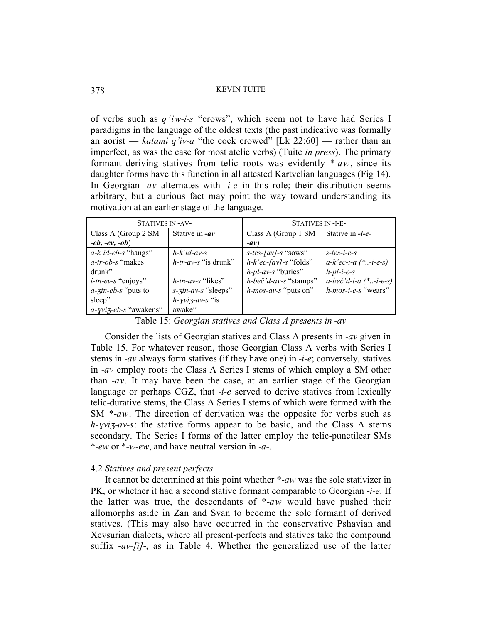of verbs such as *q'iw-i-s* "crows", which seem not to have had Series I paradigms in the language of the oldest texts (the past indicative was formally an aorist — *katami q'iv-a* "the cock crowed" [Lk 22:60] — rather than an imperfect, as was the case for most atelic verbs) (Tuite *in press*). The primary formant deriving statives from telic roots was evidently \*-*aw*, since its daughter forms have this function in all attested Kartvelian languages (Fig 14). In Georgian -*av* alternates with -*i-e* in this role; their distribution seems arbitrary, but a curious fact may point the way toward understanding its motivation at an earlier stage of the language.

| <b>STATIVES IN-AV-</b>   |                         | <b>STATIVES IN -I-E-</b> |                                          |  |
|--------------------------|-------------------------|--------------------------|------------------------------------------|--|
| Class A (Group 2 SM      | Stative in $-\alpha v$  | Class A (Group 1 SM      | Stative in - <i>i-e</i> -                |  |
| $-eb, -ev, -ob)$         |                         | $-av)$                   |                                          |  |
| a-k'id-eb-s "hangs"      | $h-k$ 'id-av-s          | $s$ -tes-[av]-s "sows"   | $s$ -tes-i-e-s                           |  |
| $a$ -tr-ob-s "makes"     | $h$ -tr-av-s "is drunk" | $h-k'e$ c-[av]-s "folds" | $a-k'e$ c-i- $a$ (*-i-e-s)               |  |
| drunk"                   |                         | h-pl-av-s "buries"       | $h$ -pl-i-e-s                            |  |
| $i$ -tn-ev-s "enjoys"    | $h$ -tn-av-s "likes"    | h-beč'd-av-s "stamps"    | $a-be\check{c}'d-i-a$ (*- <i>i-e-s</i> ) |  |
| $a$ -zin-eb-s "puts to   | $s$ -zin-av-s "sleeps"  | $h$ -mos-av-s "puts on"  | $h$ -mos-i-e-s "wears"                   |  |
| sleep"                   | $h$ -yviz-av-s "is      |                          |                                          |  |
| $a$ -yviz-eb-s "awakens" | awake"                  |                          |                                          |  |

Table 15: *Georgian statives and Class A presents in -av*

Consider the lists of Georgian statives and Class A presents in -*av* given in Table 15. For whatever reason, those Georgian Class A verbs with Series I stems in -*av* always form statives (if they have one) in -*i-e*; conversely, statives in -*av* employ roots the Class A Series I stems of which employ a SM other than -*av*. It may have been the case, at an earlier stage of the Georgian language or perhaps CGZ, that -*i-e* served to derive statives from lexically telic-durative stems, the Class A Series I stems of which were formed with the SM \*-*aw*. The direction of derivation was the opposite for verbs such as  $h$ - $\gamma \nu i \overline{\gamma}$ - $a \nu$ -s: the stative forms appear to be basic, and the Class A stems secondary. The Series I forms of the latter employ the telic-punctilear SMs \*-*ew* or \*-*w-ew*, and have neutral version in -*a*-.

## 4.2 *Statives and present perfects*

It cannot be determined at this point whether \*-*aw* was the sole stativizer in PK, or whether it had a second stative formant comparable to Georgian -*i-e*. If the latter was true, the descendants of \*-*aw* would have pushed their allomorphs aside in Zan and Svan to become the sole formant of derived statives. (This may also have occurred in the conservative Pshavian and Xevsurian dialects, where all present-perfects and statives take the compound suffix -*av-[i]*-, as in Table 4. Whether the generalized use of the latter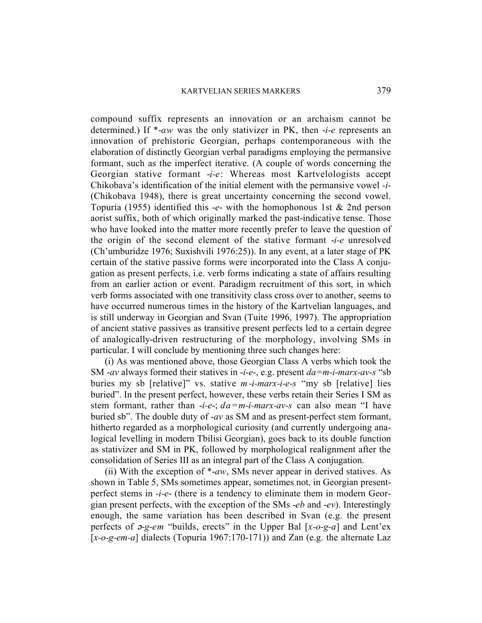compound suffix represents an innovation or an archaism cannot be determined.) If \*-*aw* was the only stativizer in PK, then -*i-e* represents an innovation of prehistoric Georgian, perhaps contemporaneous with the elaboration of distinctly Georgian verbal paradigms employing the permansive formant, such as the imperfect iterative. (A couple of words concerning the Georgian stative formant -*i-e*: Whereas most Kartvelologists accept Chikobava's identification of the initial element with the permansive vowel -*i*- (Chikobava 1948), there is great uncertainty concerning the second vowel. Topuria (1955) identified this -*e*- with the homophonous 1st & 2nd person aorist suffix, both of which originally marked the past-indicative tense. Those who have looked into the matter more recently prefer to leave the question of the origin of the second element of the stative formant -*i-e* unresolved (Ch'umburidze 1976; Suxishvili 1976:25)). In any event, at a later stage of PK certain of the stative passive forms were incorporated into the Class A conjugation as present perfects, i.e. verb forms indicating a state of affairs resulting from an earlier action or event. Paradigm recruitment of this sort, in which verb forms associated with one transitivity class cross over to another, seems to have occurred numerous times in the history of the Kartvelian languages, and is still underway in Georgian and Svan (Tuite 1996, 1997). The appropriation of ancient stative passives as transitive present perfects led to a certain degree of analogically-driven restructuring of the morphology, involving SMs in particular. I will conclude by mentioning three such changes here:

(i) As was mentioned above, those Georgian Class A verbs which took the SM -*av* always formed their statives in -*i-e*-, e.g. present *da=m-i-marx-av-s* "sb buries my sb [relative]" vs. stative *m -i-marx-i-e-s* "my sb [relative] lies buried". In the present perfect, however, these verbs retain their Series I SM as stem formant, rather than -*i-e*-; *da=m-i-marx-av-s* can also mean "I have buried sb". The double duty of -*av* as SM and as present-perfect stem formant, hitherto regarded as a morphological curiosity (and currently undergoing analogical levelling in modern Tbilisi Georgian), goes back to its double function as stativizer and SM in PK, followed by morphological realignment after the consolidation of Series III as an integral part of the Class A conjugation.

(ii) With the exception of \*-*aw*, SMs never appear in derived statives. As shown in Table 5, SMs sometimes appear, sometimes not, in Georgian presentperfect stems in -*i-e*- (there is a tendency to eliminate them in modern Georgian present perfects, with the exception of the SMs -*eb* and -*ev*). Interestingly enough, the same variation has been described in Svan (e.g. the present perfects of  $\varphi$ -*g-em* "builds, erects" in the Upper Bal [*x-o-g-a*] and Lent'ex [*x-o-g-em-a*] dialects (Topuria 1967:170-171)) and Zan (e.g. the alternate Laz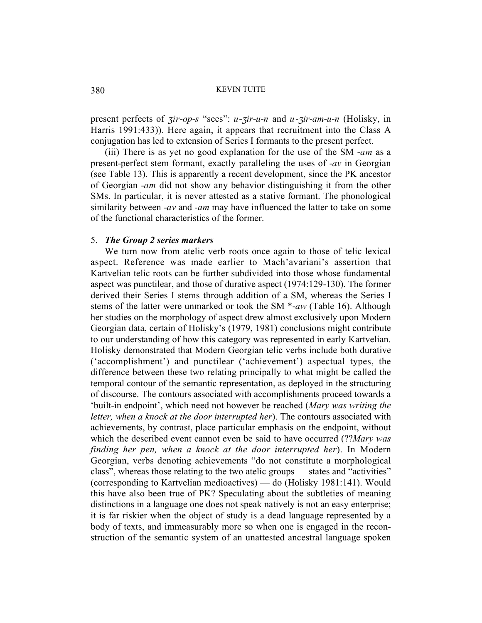present perfects of  $\overline{z}$ *ir-op-s* "sees": *u-zir-u-n* and *u-zir-am-u-n* (Holisky, in Harris 1991:433)). Here again, it appears that recruitment into the Class A conjugation has led to extension of Series I formants to the present perfect.

(iii) There is as yet no good explanation for the use of the SM -*am* as a present-perfect stem formant, exactly paralleling the uses of -*av* in Georgian (see Table 13). This is apparently a recent development, since the PK ancestor of Georgian -*am* did not show any behavior distinguishing it from the other SMs. In particular, it is never attested as a stative formant. The phonological similarity between -*av* and -*am* may have influenced the latter to take on some of the functional characteristics of the former.

## 5. *The Group 2 series markers*

We turn now from atelic verb roots once again to those of telic lexical aspect. Reference was made earlier to Mach'avariani's assertion that Kartvelian telic roots can be further subdivided into those whose fundamental aspect was punctilear, and those of durative aspect (1974:129-130). The former derived their Series I stems through addition of a SM, whereas the Series I stems of the latter were unmarked or took the SM \*-*aw* (Table 16). Although her studies on the morphology of aspect drew almost exclusively upon Modern Georgian data, certain of Holisky's (1979, 1981) conclusions might contribute to our understanding of how this category was represented in early Kartvelian. Holisky demonstrated that Modern Georgian telic verbs include both durative ('accomplishment') and punctilear ('achievement') aspectual types, the difference between these two relating principally to what might be called the temporal contour of the semantic representation, as deployed in the structuring of discourse. The contours associated with accomplishments proceed towards a 'built-in endpoint', which need not however be reached (*Mary was writing the letter, when a knock at the door interrupted her*). The contours associated with achievements, by contrast, place particular emphasis on the endpoint, without which the described event cannot even be said to have occurred (??*Mary was finding her pen, when a knock at the door interrupted her*). In Modern Georgian, verbs denoting achievements "do not constitute a morphological class", whereas those relating to the two atelic groups — states and "activities" (corresponding to Kartvelian medioactives) — do (Holisky 1981:141). Would this have also been true of PK? Speculating about the subtleties of meaning distinctions in a language one does not speak natively is not an easy enterprise; it is far riskier when the object of study is a dead language represented by a body of texts, and immeasurably more so when one is engaged in the reconstruction of the semantic system of an unattested ancestral language spoken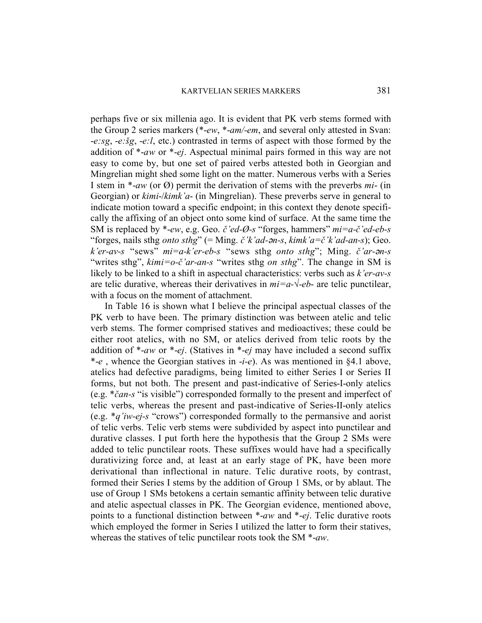perhaps five or six millenia ago. It is evident that PK verb stems formed with the Group 2 series markers (\*-*ew*, \*-*am/-em*, and several only attested in Svan: -*e:sg*, -*e:£g*, -*e:l*, etc.) contrasted in terms of aspect with those formed by the addition of \*-*aw* or \*-*ej*. Aspectual minimal pairs formed in this way are not easy to come by, but one set of paired verbs attested both in Georgian and Mingrelian might shed some light on the matter. Numerous verbs with a Series I stem in \*-*aw* (or Ø) permit the derivation of stems with the preverbs *mi*- (in Georgian) or *kimi*-/*kimk'a*- (in Mingrelian). These preverbs serve in general to indicate motion toward a specific endpoint; in this context they denote specifically the affixing of an object onto some kind of surface. At the same time the SM is replaced by \*-*ew*, e.g. Geo. č'ed-Ø-s "forges, hammers" *mi*=a-č'ed-eb-s "forges, nails sthg *onto sthg*" (= Ming.  $\check{c}'\hat{k}'ad$ - $\theta$ n-s,  $\check{k}im\check{k}'a=\check{c}'\check{k}'ad$ - $an$ -s); Geo.  $k'$ er-av-s "sews"  $mi=a-k'$ er-eb-s "sews sthg *onto sthg*"; Ming.  $\check{c}'$ *ar-on-s* "writes sthg",  $kimi = o$ - $\check{c}'$  ar-an-s "writes sthg *on sthg*". The change in SM is likely to be linked to a shift in aspectual characteristics: verbs such as *k'er-av-s* are telic durative, whereas their derivatives in  $mi=a-\sqrt{e}b$ - are telic punctilear, with a focus on the moment of attachment.

In Table 16 is shown what I believe the principal aspectual classes of the PK verb to have been. The primary distinction was between atelic and telic verb stems. The former comprised statives and medioactives; these could be either root atelics, with no SM, or atelics derived from telic roots by the addition of \*-*aw* or \*-*ej*. (Statives in \*-*ej* may have included a second suffix \*-*e* , whence the Georgian statives in -*i-e*). As was mentioned in §4.1 above, atelics had defective paradigms, being limited to either Series I or Series II forms, but not both. The present and past-indicative of Series-I-only atelics (e.g. \**™an-s* "is visible") corresponded formally to the present and imperfect of telic verbs, whereas the present and past-indicative of Series-II-only atelics (e.g. \**q'iw-ej-s* "crows") corresponded formally to the permansive and aorist of telic verbs. Telic verb stems were subdivided by aspect into punctilear and durative classes. I put forth here the hypothesis that the Group 2 SMs were added to telic punctilear roots. These suffixes would have had a specifically durativizing force and, at least at an early stage of PK, have been more derivational than inflectional in nature. Telic durative roots, by contrast, formed their Series I stems by the addition of Group 1 SMs, or by ablaut. The use of Group 1 SMs betokens a certain semantic affinity between telic durative and atelic aspectual classes in PK. The Georgian evidence, mentioned above, points to a functional distinction between \*-*aw* and \*-*ej*. Telic durative roots which employed the former in Series I utilized the latter to form their statives, whereas the statives of telic punctilear roots took the SM \*-*aw*.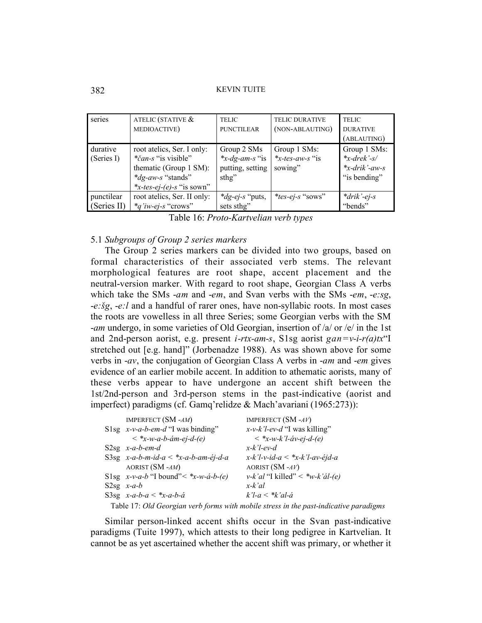382 KEVIN TUITE

| series                    | ATELIC (STATIVE &<br>MEDIOACTIVE)                                                                                                 | TELIC<br><b>PUNCTILEAR</b>                                  | <b>TELIC DURATIVE</b><br>(NON-ABLAUTING)    | <b>TELIC</b><br><b>DURATIVE</b><br>(ABLAUTING)                       |
|---------------------------|-----------------------------------------------------------------------------------------------------------------------------------|-------------------------------------------------------------|---------------------------------------------|----------------------------------------------------------------------|
| durative<br>(Series I)    | root atelics, Ser. I only:<br>*čan-s "is visible"<br>thematic (Group 1 SM):<br>*dg-aw-s "stands"<br>*x-tes-ej- $(e)$ -s "is sown" | Group 2 SMs<br>*x-dg-am-s "is"<br>putting, setting<br>sthg" | Group 1 SMs:<br>*x-tes-aw-s "is"<br>sowing" | Group 1 SMs:<br>$*x$ -drek'-s/<br>$*_{x-drik'-aw-s}$<br>"is bending" |
| punctilear<br>(Series II) | root atelics, Ser. II only:<br>*q'iw-ej-s "crows"                                                                                 | <i>*dg-ej-s</i> "puts,<br>sets sthg"                        | * $tes-ej-s$ "sows"                         | $*drik'-ej-s$<br>"bends"                                             |

Table 16: *Proto-Kartvelian verb types*

## 5.1 *Subgroups of Group 2 series markers*

The Group 2 series markers can be divided into two groups, based on formal characteristics of their associated verb stems. The relevant morphological features are root shape, accent placement and the neutral-version marker. With regard to root shape, Georgian Class A verbs which take the SMs -*am* and -*em*, and Svan verbs with the SMs -*em*, -*e:sg*, -*e:£g*, -*e:l* and a handful of rarer ones, have non-syllabic roots. In most cases the roots are vowelless in all three Series; some Georgian verbs with the SM -*am* undergo, in some varieties of Old Georgian, insertion of /a/ or /e/ in the 1st and 2nd-person aorist, e.g. present *i-rtx-am-s*, S1sg aorist *gan=v-i-r(a)tx*"I stretched out [e.g. hand]" (Jorbenadze 1988). As was shown above for some verbs in -*av*, the conjugation of Georgian Class A verbs in -*am* and -*em* gives evidence of an earlier mobile accent. In addition to athematic aorists, many of these verbs appear to have undergone an accent shift between the 1st/2nd-person and 3rd-person stems in the past-indicative (aorist and imperfect) paradigms (cf. Gamq'relidze & Mach'avariani (1965:273)):

| IMPERFECT $(SM - AM)$                      | IMPERFECT $(SM - AV)$                                                                 |
|--------------------------------------------|---------------------------------------------------------------------------------------|
| S1sg $x$ -v-a-b-em-d "I was binding"       | $x$ -v-k'l-ev-d "I was killing"                                                       |
| $\langle x-w-a-b-4mc-1-c\rangle$           | $\langle x-w-k' \cdot l - av - ej - d - (e) \rangle$                                  |
| $S2sg$ $x-a-b-em-d$                        | $x-k'l$ -ev-d                                                                         |
| S3sg $x-a-b-m-id-a <$ *x-a-b-am-éj-d-a     | $x-k'l-v-id-a < *x-k'l-av-ejd-a$                                                      |
| AORIST (SM-AM)                             | AORIST $(SM - AV)$                                                                    |
| S1sg $x-v-a-b$ "I bound" < * $x-w-a-b-(e)$ | $v-k'dl$ "I killed" < *w-k'ál-(e)                                                     |
| S2sg $x-a-b$                               | x-k'al                                                                                |
| S3sg $x-a-b-a < *x-a-b-a$                  | $k'l-a \leq *k'al-a$                                                                  |
|                                            | Table 17: Old Georgian verb forms with mobile stress in the past-indicative paradigms |

Similar person-linked accent shifts occur in the Svan past-indicative paradigms (Tuite 1997), which attests to their long pedigree in Kartvelian. It cannot be as yet ascertained whether the accent shift was primary, or whether it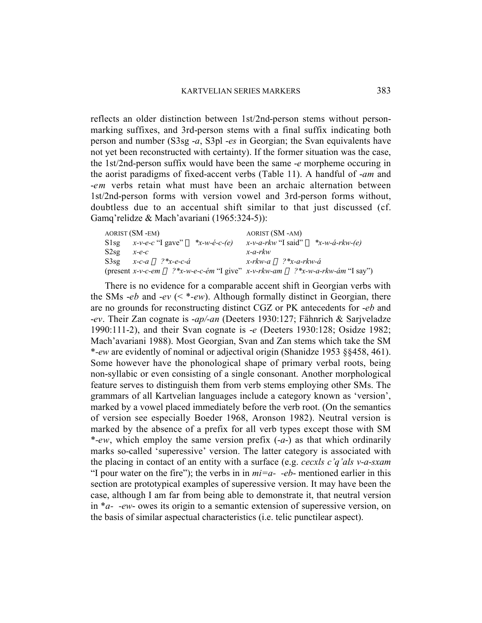reflects an older distinction between 1st/2nd-person stems without personmarking suffixes, and 3rd-person stems with a final suffix indicating both person and number (S3sg -*a*, S3pl -*es* in Georgian; the Svan equivalents have not yet been reconstructed with certainty). If the former situation was the case, the 1st/2nd-person suffix would have been the same -*e* morpheme occuring in the aorist paradigms of fixed-accent verbs (Table 11). A handful of -*am* and -*em* verbs retain what must have been an archaic alternation between 1st/2nd-person forms with version vowel and 3rd-person forms without, doubtless due to an accentual shift similar to that just discussed (cf. Gamq'relidze & Mach'avariani (1965:324-5)):

|      | aorist (SM -em)                                    | AORIST (SM-AM)                                                                                       |
|------|----------------------------------------------------|------------------------------------------------------------------------------------------------------|
|      | S lsg $x-v-e-c$ "I gave" $\Leftarrow$ *x-w-é-c-(e) | $x$ -v-a-rkw "I said" $\Leftrightarrow$ *x-w-á-rkw-(e)                                               |
| S2sg | $x-e-c$                                            | $x-a-rkw$                                                                                            |
|      | S3sg $x-c-a \Leftarrow$ ?*x-e-c-á                  | $x$ -rkw-a $\Leftarrow$ ?*x-a-rkw-á                                                                  |
|      |                                                    | (present x-v-c-em $\Leftarrow$ ?*x-w-e-c-ém "I give" x-v-rkw-am $\Leftarrow$ ?*x-w-a-rkw-ám "I say") |

There is no evidence for a comparable accent shift in Georgian verbs with the SMs -*eb* and -*ev* (< \**-ew*). Although formally distinct in Georgian, there are no grounds for reconstructing distinct CGZ or PK antecedents for -*eb* and -*ev*. Their Zan cognate is -*ap/-an* (Deeters 1930:127; Fähnrich & Sarjveladze 1990:111-2), and their Svan cognate is -*e* (Deeters 1930:128; Osidze 1982; Mach'avariani 1988). Most Georgian, Svan and Zan stems which take the SM \**-ew* are evidently of nominal or adjectival origin (Shanidze 1953 §§458, 461). Some however have the phonological shape of primary verbal roots, being non-syllabic or even consisting of a single consonant. Another morphological feature serves to distinguish them from verb stems employing other SMs. The grammars of all Kartvelian languages include a category known as 'version', marked by a vowel placed immediately before the verb root. (On the semantics of version see especially Boeder 1968, Aronson 1982). Neutral version is marked by the absence of a prefix for all verb types except those with SM \**-ew*, which employ the same version prefix (-*a*-) as that which ordinarily marks so-called 'superessive' version. The latter category is associated with the placing in contact of an entity with a surface (e.g. *cecxls c'q'als v-a-sxam* "I pour water on the fire"); the verbs in in  $mi=a-\sqrt{-e}b$ - mentioned earlier in this section are prototypical examples of superessive version. It may have been the case, although I am far from being able to demonstrate it, that neutral version in  $a - \sqrt{ew}$ - owes its origin to a semantic extension of superessive version, on the basis of similar aspectual characteristics (i.e. telic punctilear aspect).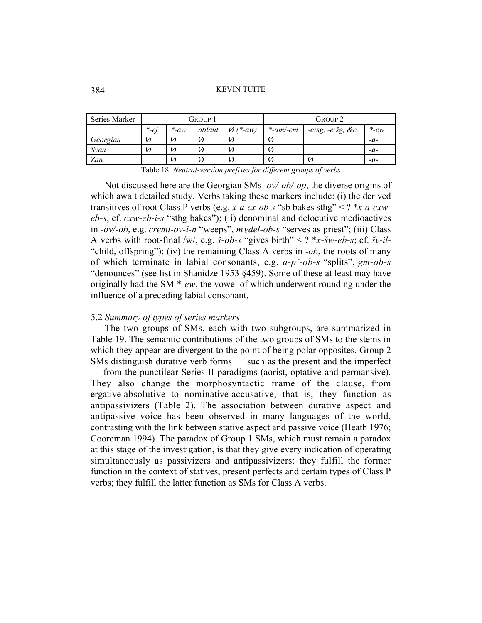| Series Marker | Group 1  |           |        | <b>GROUP 2</b> |             |                   |         |
|---------------|----------|-----------|--------|----------------|-------------|-------------------|---------|
|               | $E_{ei}$ | $*_{-aw}$ | ablaut | $(*-aw)$<br>Ø  | $*$ -am/-em | -e:sg, -e:šg, &c. | $*$ -ew |
| Georgian      |          |           | Ø      | Ø              | Ø           |                   | -a-     |
| Svan          |          | Ø         | Ø      |                | Ø           |                   | -a-     |
| Zan           |          |           | Ø      | Ø              | Ø           | Ø                 | -0-     |

Table 18: *Neutral-version prefixes for different groups of verbs*

Not discussed here are the Georgian SMs -*ov/-ob/-op*, the diverse origins of which await detailed study. Verbs taking these markers include: (i) the derived transitives of root Class P verbs (e.g. *x-a-cx-ob-s* "sb bakes sthg" < ? \**x-a-cxweb-s*; cf. *cxw-eb-i-s* "sthg bakes"); (ii) denominal and delocutive medioactives in -*ov/-ob*, e.g. *creml-ov-i-n* "weeps", *m*ƒ*del-ob-s* "serves as priest"; (iii) Class A verbs with root-final /w/, e.g.  $\check{s}$ -ob-s "gives birth" < ? \*x- $\check{s}w$ -eb-s; cf.  $\check{s}v$ -il-"child, offspring"); (iv) the remaining Class A verbs in -*ob*, the roots of many of which terminate in labial consonants, e.g. *a-p'-ob-s* "splits", *gm-ob-s* "denounces" (see list in Shanidze 1953 §459). Some of these at least may have originally had the SM \**-ew*, the vowel of which underwent rounding under the influence of a preceding labial consonant.

## 5.2 *Summary of types of series markers*

The two groups of SMs, each with two subgroups, are summarized in Table 19. The semantic contributions of the two groups of SMs to the stems in which they appear are divergent to the point of being polar opposites. Group 2 SMs distinguish durative verb forms — such as the present and the imperfect — from the punctilear Series II paradigms (aorist, optative and permansive). They also change the morphosyntactic frame of the clause, from ergative-absolutive to nominative-accusative, that is, they function as antipassivizers (Table 2). The association between durative aspect and antipassive voice has been observed in many languages of the world, contrasting with the link between stative aspect and passive voice (Heath 1976; Cooreman 1994). The paradox of Group 1 SMs, which must remain a paradox at this stage of the investigation, is that they give every indication of operating simultaneously as passivizers and antipassivizers: they fulfill the former function in the context of statives, present perfects and certain types of Class P verbs; they fulfill the latter function as SMs for Class A verbs.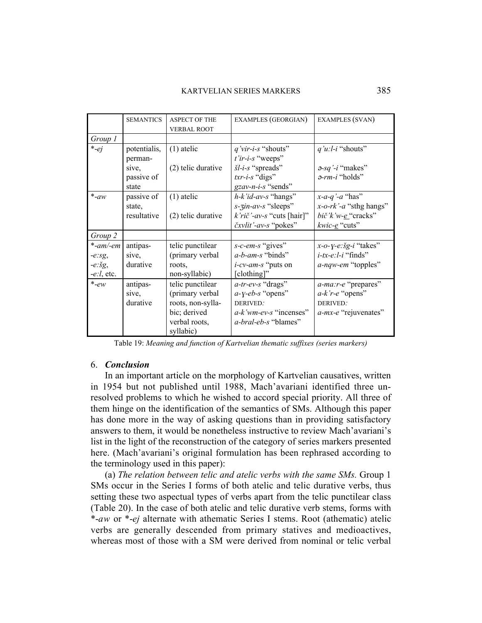## KARTVELIAN SERIES MARKERS 385

|                  | <b>SEMANTICS</b> | <b>ASPECT OF THE</b><br><b>VERBAL ROOT</b> | <b>EXAMPLES</b> (GEORGIAN)           | <b>EXAMPLES</b> (SVAN)             |
|------------------|------------------|--------------------------------------------|--------------------------------------|------------------------------------|
| Group 1          |                  |                                            |                                      |                                    |
| $*$ -ej          | potentialis,     | $(1)$ atelic                               | $q$ 'vir-i-s "shouts"                | $q'u:l-i$ "shouts"                 |
|                  | perman-          |                                            | $t'$ ir-i-s "weeps"                  |                                    |
|                  | sive,            | (2) telic durative                         | šl-i-s "spreads"                     | $\partial$ -sq'-i "makes"          |
|                  | passive of       |                                            | $txr-i-s$ "digs"                     | $2-rm-i$ "holds"                   |
|                  | state            |                                            | gzav-n-i-s "sends"                   |                                    |
| $*$ -aw          | passive of       | $(1)$ atelic                               | $h-k$ 'id-av-s "hangs"               | $x-a-q' - a$ "has"                 |
|                  | state,           |                                            | $s$ -zin-av-s "sleeps"               | $x$ -o-rk'-a "sthg hangs"          |
|                  | resultative      | (2) telic durative                         | $k'ri\check{c}'$ -av-s "cuts [hair]" | bič'k'w-e_"cracks"                 |
|                  |                  |                                            | čxvlit'-av-s "pokes"                 | kwic-e "cuts"                      |
| Group 2          |                  |                                            |                                      |                                    |
| $*$ -am/-em      | antipas-         | telic punctilear                           | s-c-em-s "gives"                     | $x$ -o-y-e: $\check{g}$ -i "takes" |
| $-e:sg,$         | sive,            | (primary verbal                            | a-b-am-s "binds"                     | $i$ -tx-e: $l$ - $i$ "finds"       |
| $-e.\check{g}g,$ | durative         | roots,                                     | <i>i-cv-am-s</i> "puts on            | a-nqw-em "topples"                 |
| $-e:l$ , etc.    |                  | non-syllabic)                              | [clothing]"                          |                                    |
| $*_{ew}$         | antipas-         | telic punctilear                           | a-tr-ev-s "drags"                    | a-ma:r-e "prepares"                |
|                  | sive,            | (primary verbal                            | $a$ -y-eb-s "opens"                  | $a-k$ 'r-e "opens"                 |
|                  | durative         | roots, non-sylla-                          | DERIVED:                             | DERIVED:                           |
|                  |                  | bic; derived                               | $a-k'wm-ev-s$ "incenses"             | <i>a-mx-e</i> "rejuvenates"        |
|                  |                  | verbal roots,                              | <i>a-bral-eb-s</i> "blames"          |                                    |
|                  |                  | syllabic)                                  |                                      |                                    |

Table 19: *Meaning and function of Kartvelian thematic suffixes (series markers)*

## 6. *Conclusion*

In an important article on the morphology of Kartvelian causatives, written in 1954 but not published until 1988, Mach'avariani identified three unresolved problems to which he wished to accord special priority. All three of them hinge on the identification of the semantics of SMs. Although this paper has done more in the way of asking questions than in providing satisfactory answers to them, it would be nonetheless instructive to review Mach'avariani's list in the light of the reconstruction of the category of series markers presented here. (Mach'avariani's original formulation has been rephrased according to the terminology used in this paper):

(a) *The relation between telic and atelic verbs with the same SMs.* Group 1 SMs occur in the Series I forms of both atelic and telic durative verbs, thus setting these two aspectual types of verbs apart from the telic punctilear class (Table 20). In the case of both atelic and telic durative verb stems, forms with \*-*aw* or \*-*ej* alternate with athematic Series I stems. Root (athematic) atelic verbs are generally descended from primary statives and medioactives, whereas most of those with a SM were derived from nominal or telic verbal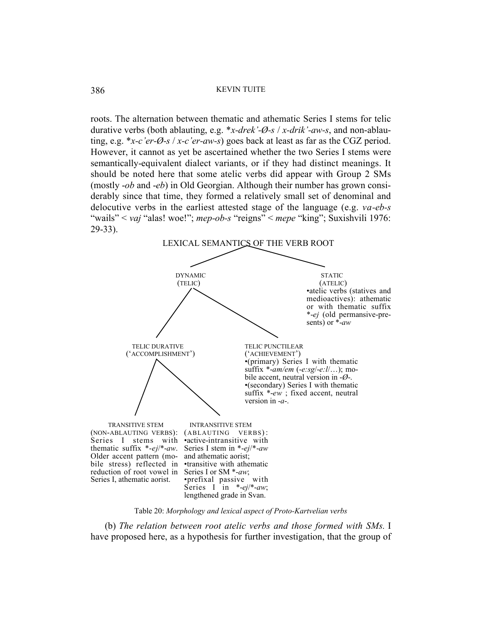roots. The alternation between thematic and athematic Series I stems for telic durative verbs (both ablauting, e.g. \**x-drek'-Ø-s* / *x-drik'-aw-s*, and non-ablauting, e.g. \**x-c'er-Ø-s* / *x-c'er-aw-s*) goes back at least as far as the CGZ period. However, it cannot as yet be ascertained whether the two Series I stems were semantically-equivalent dialect variants, or if they had distinct meanings. It should be noted here that some atelic verbs did appear with Group 2 SMs (mostly -*ob* and -*eb*) in Old Georgian. Although their number has grown considerably since that time, they formed a relatively small set of denominal and delocutive verbs in the earliest attested stage of the language (e.g. *va-eb-s* "wails" < *vaj* "alas! woe!"; *mep-ob-s* "reigns" < *mepe* "king"; Suxishvili 1976: 29-33).



Table 20: *Morphology and lexical aspect of Proto-Kartvelian verbs*

(b) *The relation between root atelic verbs and those formed with SMs.* I have proposed here, as a hypothesis for further investigation, that the group of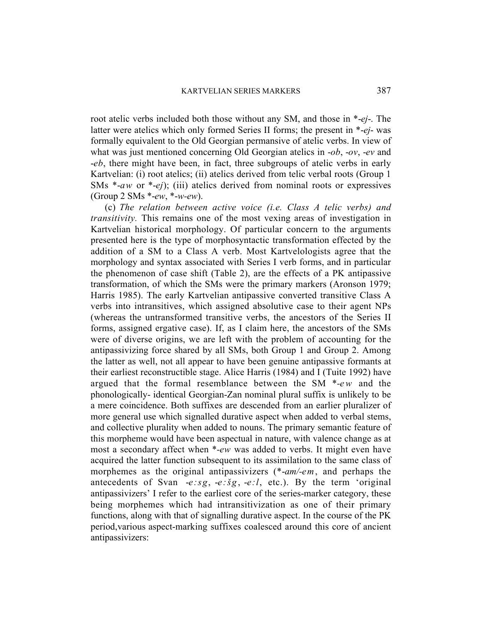root atelic verbs included both those without any SM, and those in \*-*ej*-. The latter were atelics which only formed Series II forms; the present in \*-*ej*- was formally equivalent to the Old Georgian permansive of atelic verbs. In view of what was just mentioned concerning Old Georgian atelics in -*ob*, -*ov*, -*ev* and -*eb*, there might have been, in fact, three subgroups of atelic verbs in early Kartvelian: (i) root atelics; (ii) atelics derived from telic verbal roots (Group 1 SMs \*-*aw* or \*-*ej*); (iii) atelics derived from nominal roots or expressives (Group 2 SMs \*-*ew*, \*-*w-ew*).

(c) *The relation between active voice (i.e. Class A telic verbs) and transitivity.* This remains one of the most vexing areas of investigation in Kartvelian historical morphology. Of particular concern to the arguments presented here is the type of morphosyntactic transformation effected by the addition of a SM to a Class A verb. Most Kartvelologists agree that the morphology and syntax associated with Series I verb forms, and in particular the phenomenon of case shift (Table 2), are the effects of a PK antipassive transformation, of which the SMs were the primary markers (Aronson 1979; Harris 1985). The early Kartvelian antipassive converted transitive Class A verbs into intransitives, which assigned absolutive case to their agent NPs (whereas the untransformed transitive verbs, the ancestors of the Series II forms, assigned ergative case). If, as I claim here, the ancestors of the SMs were of diverse origins, we are left with the problem of accounting for the antipassivizing force shared by all SMs, both Group 1 and Group 2. Among the latter as well, not all appear to have been genuine antipassive formants at their earliest reconstructible stage. Alice Harris (1984) and I (Tuite 1992) have argued that the formal resemblance between the SM \**-e w* and the phonologically- identical Georgian-Zan nominal plural suffix is unlikely to be a mere coincidence. Both suffixes are descended from an earlier pluralizer of more general use which signalled durative aspect when added to verbal stems, and collective plurality when added to nouns. The primary semantic feature of this morpheme would have been aspectual in nature, with valence change as at most a secondary affect when \**-ew* was added to verbs. It might even have acquired the latter function subsequent to its assimilation to the same class of morphemes as the original antipassivizers (\*-*am/-em*, and perhaps the antecedents of Svan  $-e:sg, -e:sg, -e:l$ , etc.). By the term 'original antipassivizers' I refer to the earliest core of the series-marker category, these being morphemes which had intransitivization as one of their primary functions, along with that of signalling durative aspect. In the course of the PK period,various aspect-marking suffixes coalesced around this core of ancient antipassivizers: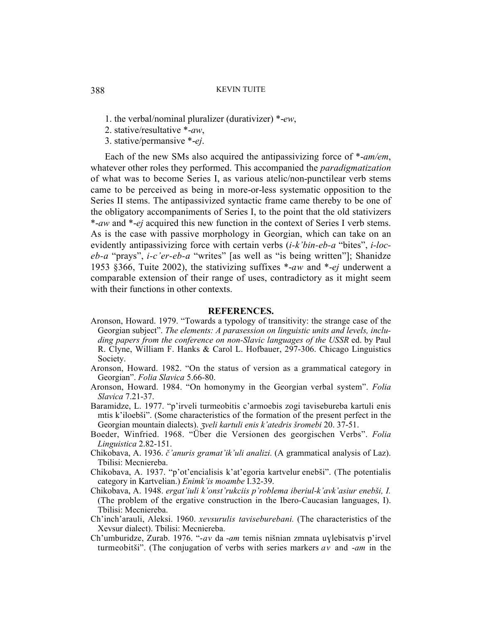- 1. the verbal/nominal pluralizer (durativizer) \*-*ew*,
- 2. stative/resultative \*-*aw*,
- 3. stative/permansive \*-*ej*.

Each of the new SMs also acquired the antipassivizing force of \*-*am/em*, whatever other roles they performed. This accompanied the *paradigmatization* of what was to become Series I, as various atelic/non-punctilear verb stems came to be perceived as being in more-or-less systematic opposition to the Series II stems. The antipassivized syntactic frame came thereby to be one of the obligatory accompaniments of Series I, to the point that the old stativizers \*-*aw* and \*-*ej* acquired this new function in the context of Series I verb stems. As is the case with passive morphology in Georgian, which can take on an evidently antipassivizing force with certain verbs (*i-k'bin-eb-a* "bites", *i-loceb-a* "prays", *i-c'er-eb-a* "writes" [as well as "is being written"]; Shanidze 1953 §366, Tuite 2002), the stativizing suffixes \*-*aw* and \*-*ej* underwent a comparable extension of their range of uses, contradictory as it might seem with their functions in other contexts.

### **REFERENCES.**

- Aronson, Howard. 1979. "Towards a typology of transitivity: the strange case of the Georgian subject". *The elements: A parasession on linguistic units and levels, including papers from the conference on non-Slavic languages of the USSR* ed. by Paul R. Clyne, William F. Hanks & Carol L. Hofbauer, 297-306. Chicago Linguistics Society.
- Aronson, Howard. 1982. "On the status of version as a grammatical category in Georgian". *Folia Slavica* 5.66-80.
- Aronson, Howard. 1984. "On homonymy in the Georgian verbal system". *Folia Slavica* 7.21-37.
- Baramidze, L. 1977. "p'irveli turmeobitis c'armoebis zogi tavisebureba kartuli enis mtis k'iloebši". (Some characteristics of the formation of the present perfect in the Georgian mountain dialects). Z*veli kartuli enis k'atedris £romebi* 20. 37-51.
- Boeder, Winfried. 1968. "Über die Versionen des georgischen Verbs". *Folia Linguistica* 2.82-151.
- Chikobava, A. 1936. *™'anuris gramat'ik'uli analizi.* (A grammatical analysis of Laz). Tbilisi: Mecniereba.
- Chikobava, A. 1937. "p'ot'encialisis k'at'egoria kartvelur eneb£i". (The potentialis category in Kartvelian.) *Enimk'is moambe* I.32-39.
- Chikobava, A. 1948. *ergat'iuli k'onst'rukciis p'roblema iberiul-k'avk'asiur eneb£i, I.* (The problem of the ergative construction in the Ibero-Caucasian languages, I). Tbilisi: Mecniereba.
- Ch'inch'arauli, Aleksi. 1960. *xevsurulis taviseburebani.* (The characteristics of the Xevsur dialect). Tbilisi: Mecniereba.
- Ch'umburidze, Zurab. 1976. "-*av* da -*am* temis nišnian zmnata uylebisatvis p'irvel turmeobitši". (The conjugation of verbs with series markers *av* and -*am* in the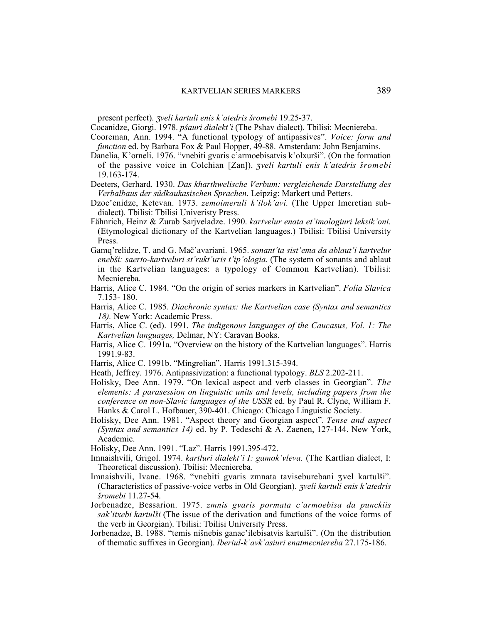present perfect). Z*veli kartuli enis k'atedris £romebi* 19.25-37.

Cocanidze, Giorgi. 1978. *p£auri dialekt'i* (The Pshav dialect). Tbilisi: Mecniereba.

- Cooreman, Ann. 1994. "A functional typology of antipassives". *Voice: form and function* ed. by Barbara Fox & Paul Hopper, 49-88. Amsterdam: John Benjamins.
- Danelia, K'orneli. 1976. "vnebiti gvaris c'armoebisatvis k'olxurši". (On the formation of the passive voice in Colchian [Zan]). Z*veli kartuli enis k'atedris £romebi* 19.163-174.
- Deeters, Gerhard. 1930. *Das kharthwelische Verbum: vergleichende Darstellung des Verbalbaus der südkaukasischen Sprachen*. Leipzig: Markert und Petters.
- Dzoc'enidze, Ketevan. 1973. *zemoimeruli k'ilok'avi.* (The Upper Imeretian subdialect). Tbilisi: Tbilisi Univeristy Press.
- Fähnrich, Heinz & Zurab Sarjveladze. 1990. *kartvelur enata et'imologiuri leksik'oni.* (Etymological dictionary of the Kartvelian languages.) Tbilisi: Tbilisi University Press.
- Gamq'relidze, T. and G. Mač'avariani. 1965. *sonant'ta sist'ema da ablaut'i kartvelur eneb£i: saerto-kartveluri st'rukt'uris t'ip'ologia.* (The system of sonants and ablaut in the Kartvelian languages: a typology of Common Kartvelian). Tbilisi: Mecniereba.
- Harris, Alice C. 1984. "On the origin of series markers in Kartvelian". *Folia Slavica* 7.153- 180.
- Harris, Alice C. 1985. *Diachronic syntax: the Kartvelian case (Syntax and semantics 18).* New York: Academic Press.
- Harris, Alice C. (ed). 1991. *The indigenous languages of the Caucasus, Vol. 1: The Kartvelian languages,* Delmar, NY: Caravan Books.
- Harris, Alice C. 1991a. "Overview on the history of the Kartvelian languages". Harris 1991.9-83.
- Harris, Alice C. 1991b. "Mingrelian". Harris 1991.315-394.
- Heath, Jeffrey. 1976. Antipassivization: a functional typology. *BLS* 2.202-211.
- Holisky, Dee Ann. 1979. "On lexical aspect and verb classes in Georgian". *The elements: A parasession on linguistic units and levels, including papers from the conference on non-Slavic languages of the USSR* ed. by Paul R. Clyne, William F. Hanks & Carol L. Hofbauer, 390-401. Chicago: Chicago Linguistic Society.
- Holisky, Dee Ann. 1981. "Aspect theory and Georgian aspect". *Tense and aspect (Syntax and semantics 14)* ed. by P. Tedeschi & A. Zaenen, 127-144. New York, Academic.
- Holisky, Dee Ann. 1991. "Laz". Harris 1991.395-472.
- Imnaishvili, Grigol. 1974. *kartluri dialekt'i I: gamok'vleva.* (The Kartlian dialect, I: Theoretical discussion). Tbilisi: Mecniereba.
- Imnaishvili, Ivane. 1968. "vnebiti gvaris zmnata taviseburebani zvel kartulši". (Characteristics of passive-voice verbs in Old Georgian). Z*veli kartuli enis k'atedris £romebi* 11.27-54.
- Jorbenadze, Bessarion. 1975. *zmnis gvaris pormata c'armoebisa da punckiis sak'itxebi kartul*<sup> $5$ </sup>*i* (The issue of the derivation and functions of the voice forms of the verb in Georgian). Tbilisi: Tbilisi University Press.
- Jorbenadze, B. 1988. "temis nišnebis ganac'ilebisatvis kartulši". (On the distribution of thematic suffixes in Georgian). *Iberiul-k'avk'asiuri enatmecniereba* 27.175-186.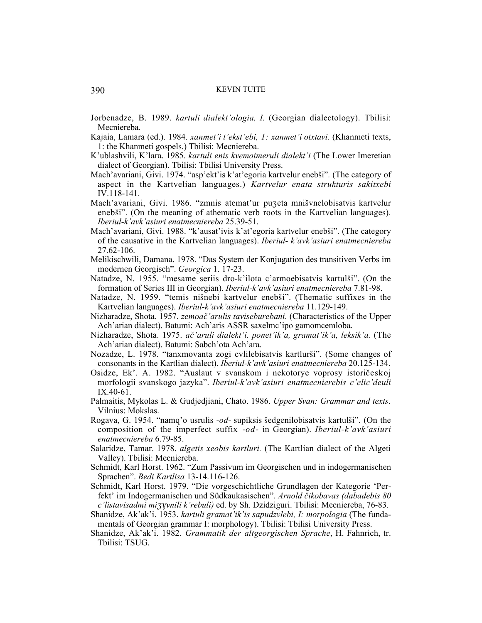Jorbenadze, B. 1989. *kartuli dialekt'ologia, I.* (Georgian dialectology). Tbilisi: Mecniereba.

- Kajaia, Lamara (ed.). 1984. *xanmet'i t'ekst'ebi, 1: xanmet'i otxtavi.* (Khanmeti texts, 1: the Khanmeti gospels.) Tbilisi: Mecniereba.
- K'ublashvili, K'lara. 1985. *kartuli enis kvemoimeruli dialekt'i* (The Lower Imeretian dialect of Georgian). Tbilisi: Tbilisi University Press.
- Mach'avariani, Givi. 1974. "asp'ekt'is k'at'egoria kartvelur enebši". (The category of aspect in the Kartvelian languages.) *Kartvelur enata strukturis sakitxebi* IV.118-141.
- Mach'avariani, Givi. 1986. "zmnis atemat'ur puzeta mnišvnelobisatvis kartvelur enebši". (On the meaning of athematic verb roots in the Kartvelian languages). *Iberiul-k'avk'asiuri enatmecniereba* 25.39-51.
- Mach'avariani, Givi. 1988. "k'ausat'ivis k'at'egoria kartvelur enebši". (The category of the causative in the Kartvelian languages). *Iberiul- k'avk'asiuri enatmecniereba* 27.62-106.
- Melikischwili, Damana. 1978. "Das System der Konjugation des transitiven Verbs im modernen Georgisch". *Georgica* 1. 17-23.
- Natadze, N. 1955. "mesame seriis dro-k'ilota c'armoebisatvis kartulši". (On the formation of Series III in Georgian). *Iberiul-k'avk'asiuri enatmecniereba* 7.81-98.
- Natadze, N. 1959. "temis nišnebi kartvelur enebši". (Thematic suffixes in the Kartvelian languages). *Iberiul-k'avk'asiuri enatmecniereba* 11.129-149.
- Nizharadze, Shota. 1957. *zemoa™'arulis taviseburebani.* (Characteristics of the Upper Ach'arian dialect). Batumi: Ach'aris ASSR saxelmc'ipo gamomcemloba.
- Nizharadze, Shota. 1975. *a™'aruli dialekt'i. ponet'ik'a, gramat'ik'a, leksik'a.* (The Ach'arian dialect). Batumi: Sabch'ota Ach'ara.
- Nozadze, L. 1978. "tanxmovanta zogi cvlilebisatvis kartlur£i". (Some changes of consonants in the Kartlian dialect). *Iberiul-k'avk'asiuri enatmecniereba* 20.125-134.
- Osidze, Ek'. A. 1982. "Auslaut v svanskom i nekotorye voprosy istoričeskoj morfologii svanskogo jazyka". *Iberiul-k'avk'asiuri enatmecnierebis c'elic'deuli* IX.40-61.
- Palmaitis, Mykolas L. & Gudjedjiani, Chato. 1986. *Upper Svan: Grammar and texts*. Vilnius: Mokslas.
- Rogava, G. 1954. "namq'o usrulis -od- supiksis šedgenilobisatvis kartulši". (On the composition of the imperfect suffix -*od*- in Georgian). *Iberiul-k'avk'asiuri enatmecniereba* 6.79-85.
- Salaridze, Tamar. 1978. *algetis xeobis kartluri.* (The Kartlian dialect of the Algeti Valley). Tbilisi: Mecniereba.
- Schmidt, Karl Horst. 1962. "Zum Passivum im Georgischen und in indogermanischen Sprachen". *Bedi Kartlisa* 13-14.116-126.
- Schmidt, Karl Horst. 1979. "Die vorgeschichtliche Grundlagen der Kategorie 'Perfekt' im Indogermanischen und Südkaukasischen". Arnold čikobavas (dabadebis 80 *c'listavisadmi mi*Zƒ*vnili k'rebuli)* ed. by Sh. Dzidziguri. Tbilisi: Mecniereba, 76-83.
- Shanidze, Ak'ak'i. 1953. *kartuli gramat'ik'is sapudzvlebi, I: morpologia* (The fundamentals of Georgian grammar I: morphology). Tbilisi: Tbilisi University Press.
- Shanidze, Ak'ak'i. 1982. *Grammatik der altgeorgischen Sprache*, H. Fahnrich, tr. Tbilisi: TSUG.